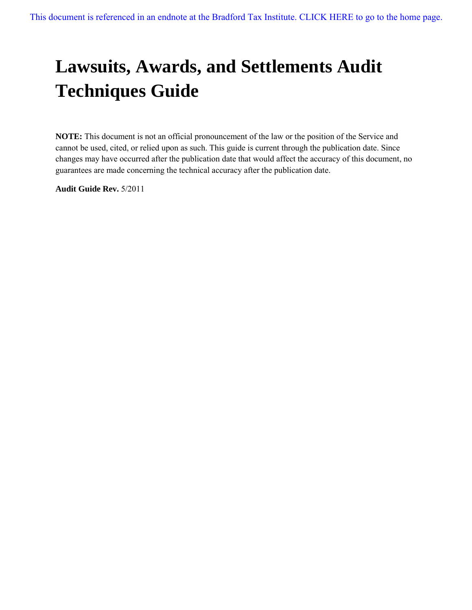# **Lawsuits, Awards, and Settlements Audit Techniques Guide**

**NOTE:** This document is not an official pronouncement of the law or the position of the Service and cannot be used, cited, or relied upon as such. This guide is current through the publication date. Since changes may have occurred after the publication date that would affect the accuracy of this document, no guarantees are made concerning the technical accuracy after the publication date.

**Audit Guide Rev.** 5/2011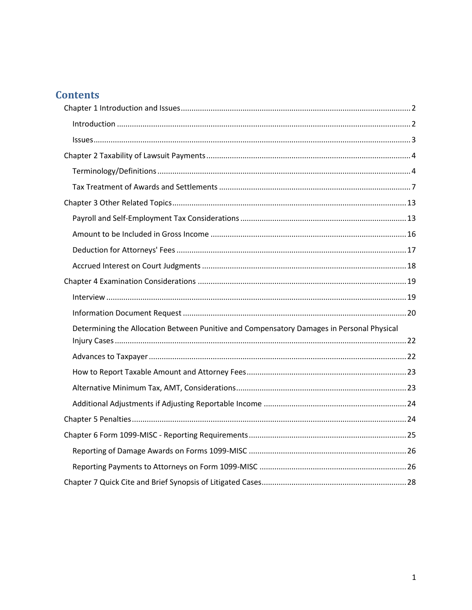## **Contents**

| Determining the Allocation Between Punitive and Compensatory Damages in Personal Physical |  |
|-------------------------------------------------------------------------------------------|--|
|                                                                                           |  |
|                                                                                           |  |
|                                                                                           |  |
|                                                                                           |  |
|                                                                                           |  |
|                                                                                           |  |
|                                                                                           |  |
|                                                                                           |  |
|                                                                                           |  |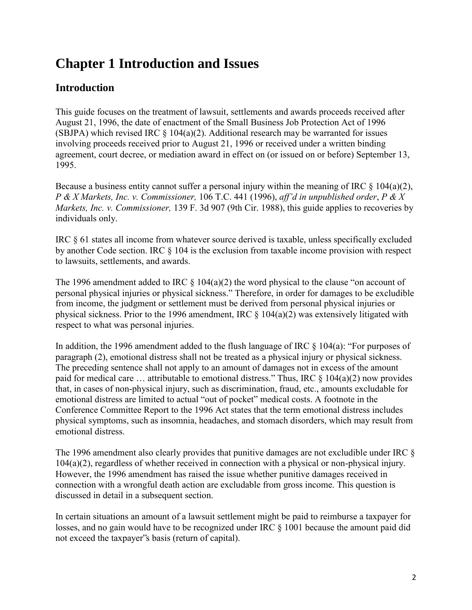## <span id="page-2-0"></span>**Chapter 1 Introduction and Issues**

## <span id="page-2-1"></span>**Introduction**

This guide focuses on the treatment of lawsuit, settlements and awards proceeds received after August 21, 1996, the date of enactment of the Small Business Job Protection Act of 1996 (SBJPA) which revised IRC  $\S$  104(a)(2). Additional research may be warranted for issues involving proceeds received prior to August 21, 1996 or received under a written binding agreement, court decree, or mediation award in effect on (or issued on or before) September 13, 1995.

Because a business entity cannot suffer a personal injury within the meaning of IRC  $\S$  104(a)(2), *P & X Markets, Inc. v. Commissioner,* 106 T.C. 441 (1996), *aff'd in unpublished order*, *P & X Markets, Inc. v. Commissioner,* 139 F. 3d 907 (9th Cir. 1988), this guide applies to recoveries by individuals only.

IRC § 61 states all income from whatever source derived is taxable, unless specifically excluded by another Code section. IRC § 104 is the exclusion from taxable income provision with respect to lawsuits, settlements, and awards.

The 1996 amendment added to IRC  $\S$  104(a)(2) the word physical to the clause "on account of personal physical injuries or physical sickness." Therefore, in order for damages to be excludible from income, the judgment or settlement must be derived from personal physical injuries or physical sickness. Prior to the 1996 amendment, IRC  $\S$  104(a)(2) was extensively litigated with respect to what was personal injuries.

In addition, the 1996 amendment added to the flush language of IRC § 104(a): "For purposes of paragraph (2), emotional distress shall not be treated as a physical injury or physical sickness. The preceding sentence shall not apply to an amount of damages not in excess of the amount paid for medical care ... attributable to emotional distress." Thus, IRC  $\S$  104(a)(2) now provides that, in cases of non-physical injury, such as discrimination, fraud, etc., amounts excludable for emotional distress are limited to actual "out of pocket" medical costs. A footnote in the Conference Committee Report to the 1996 Act states that the term emotional distress includes physical symptoms, such as insomnia, headaches, and stomach disorders, which may result from emotional distress.

The 1996 amendment also clearly provides that punitive damages are not excludible under IRC § 104(a)(2), regardless of whether received in connection with a physical or non-physical injury. However, the 1996 amendment has raised the issue whether punitive damages received in connection with a wrongful death action are excludable from gross income. This question is discussed in detail in a subsequent section.

In certain situations an amount of a lawsuit settlement might be paid to reimburse a taxpayer for losses, and no gain would have to be recognized under IRC § 1001 because the amount paid did not exceed the taxpayer"s basis (return of capital).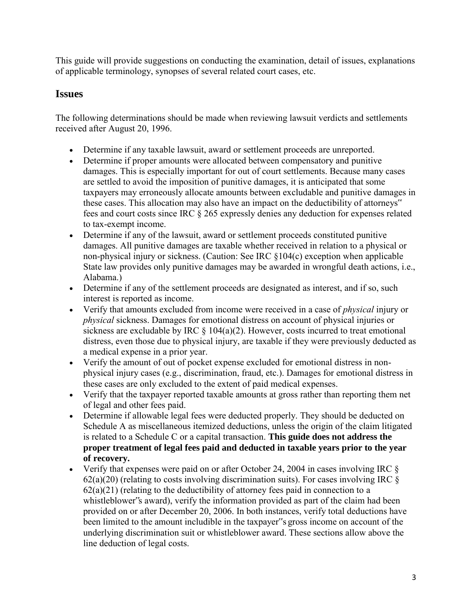This guide will provide suggestions on conducting the examination, detail of issues, explanations of applicable terminology, synopses of several related court cases, etc.

## <span id="page-3-0"></span>**Issues**

The following determinations should be made when reviewing lawsuit verdicts and settlements received after August 20, 1996.

- Determine if any taxable lawsuit, award or settlement proceeds are unreported.
- Determine if proper amounts were allocated between compensatory and punitive damages. This is especially important for out of court settlements. Because many cases are settled to avoid the imposition of punitive damages, it is anticipated that some taxpayers may erroneously allocate amounts between excludable and punitive damages in these cases. This allocation may also have an impact on the deductibility of attorneys" fees and court costs since IRC § 265 expressly denies any deduction for expenses related to tax-exempt income.
- Determine if any of the lawsuit, award or settlement proceeds constituted punitive damages. All punitive damages are taxable whether received in relation to a physical or non-physical injury or sickness. (Caution: See IRC §104(c) exception when applicable State law provides only punitive damages may be awarded in wrongful death actions, i.e., Alabama.)
- Determine if any of the settlement proceeds are designated as interest, and if so, such interest is reported as income.
- Verify that amounts excluded from income were received in a case of *physical* injury or *physical* sickness. Damages for emotional distress on account of physical injuries or sickness are excludable by IRC  $\S$  104(a)(2). However, costs incurred to treat emotional distress, even those due to physical injury, are taxable if they were previously deducted as a medical expense in a prior year.
- Verify the amount of out of pocket expense excluded for emotional distress in nonphysical injury cases (e.g., discrimination, fraud, etc.). Damages for emotional distress in these cases are only excluded to the extent of paid medical expenses.
- Verify that the taxpayer reported taxable amounts at gross rather than reporting them net of legal and other fees paid.
- Determine if allowable legal fees were deducted properly. They should be deducted on Schedule A as miscellaneous itemized deductions, unless the origin of the claim litigated is related to a Schedule C or a capital transaction. **This guide does not address the proper treatment of legal fees paid and deducted in taxable years prior to the year of recovery.**
- Verify that expenses were paid on or after October 24, 2004 in cases involving IRC  $\&$  $62(a)(20)$  (relating to costs involving discrimination suits). For cases involving IRC  $\S$  $62(a)(21)$  (relating to the deductibility of attorney fees paid in connection to a whistleblower"s award), verify the information provided as part of the claim had been provided on or after December 20, 2006. In both instances, verify total deductions have been limited to the amount includible in the taxpayer"s gross income on account of the underlying discrimination suit or whistleblower award. These sections allow above the line deduction of legal costs.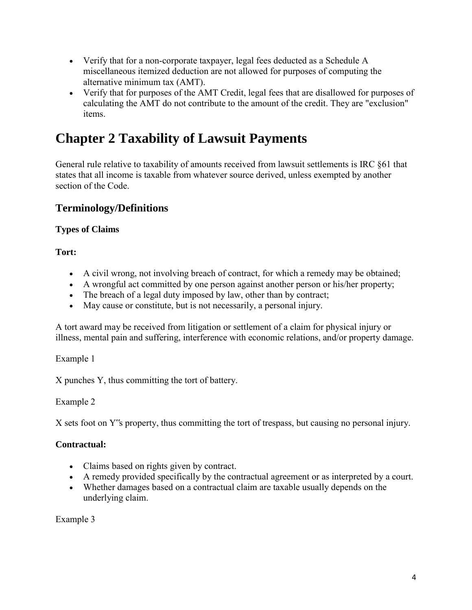- Verify that for a non-corporate taxpayer, legal fees deducted as a Schedule A miscellaneous itemized deduction are not allowed for purposes of computing the alternative minimum tax (AMT).
- Verify that for purposes of the AMT Credit, legal fees that are disallowed for purposes of calculating the AMT do not contribute to the amount of the credit. They are "exclusion" items.

## <span id="page-4-0"></span>**Chapter 2 Taxability of Lawsuit Payments**

General rule relative to taxability of amounts received from lawsuit settlements is IRC §61 that states that all income is taxable from whatever source derived, unless exempted by another section of the Code.

## <span id="page-4-1"></span>**Terminology/Definitions**

## **Types of Claims**

**Tort:** 

- A civil wrong, not involving breach of contract, for which a remedy may be obtained;
- A wrongful act committed by one person against another person or his/her property;
- The breach of a legal duty imposed by law, other than by contract;
- May cause or constitute, but is not necessarily, a personal injury.

A tort award may be received from litigation or settlement of a claim for physical injury or illness, mental pain and suffering, interference with economic relations, and/or property damage.

Example 1

X punches Y, thus committing the tort of battery.

## Example 2

X sets foot on Y"s property, thus committing the tort of trespass, but causing no personal injury.

## **Contractual:**

- Claims based on rights given by contract.
- A remedy provided specifically by the contractual agreement or as interpreted by a court.
- Whether damages based on a contractual claim are taxable usually depends on the underlying claim.

Example 3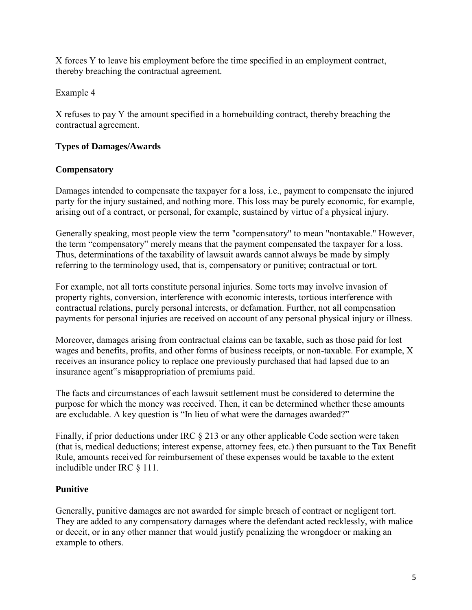X forces Y to leave his employment before the time specified in an employment contract, thereby breaching the contractual agreement.

Example 4

X refuses to pay Y the amount specified in a homebuilding contract, thereby breaching the contractual agreement.

#### **Types of Damages/Awards**

#### **Compensatory**

Damages intended to compensate the taxpayer for a loss, i.e., payment to compensate the injured party for the injury sustained, and nothing more. This loss may be purely economic, for example, arising out of a contract, or personal, for example, sustained by virtue of a physical injury.

Generally speaking, most people view the term "compensatory" to mean "nontaxable." However, the term "compensatory" merely means that the payment compensated the taxpayer for a loss. Thus, determinations of the taxability of lawsuit awards cannot always be made by simply referring to the terminology used, that is, compensatory or punitive; contractual or tort.

For example, not all torts constitute personal injuries. Some torts may involve invasion of property rights, conversion, interference with economic interests, tortious interference with contractual relations, purely personal interests, or defamation. Further, not all compensation payments for personal injuries are received on account of any personal physical injury or illness.

Moreover, damages arising from contractual claims can be taxable, such as those paid for lost wages and benefits, profits, and other forms of business receipts, or non-taxable. For example, X receives an insurance policy to replace one previously purchased that had lapsed due to an insurance agent"s misappropriation of premiums paid.

The facts and circumstances of each lawsuit settlement must be considered to determine the purpose for which the money was received. Then, it can be determined whether these amounts are excludable. A key question is "In lieu of what were the damages awarded?"

Finally, if prior deductions under IRC  $\S$  213 or any other applicable Code section were taken (that is, medical deductions; interest expense, attorney fees, etc.) then pursuant to the Tax Benefit Rule, amounts received for reimbursement of these expenses would be taxable to the extent includible under IRC § 111.

### **Punitive**

Generally, punitive damages are not awarded for simple breach of contract or negligent tort. They are added to any compensatory damages where the defendant acted recklessly, with malice or deceit, or in any other manner that would justify penalizing the wrongdoer or making an example to others.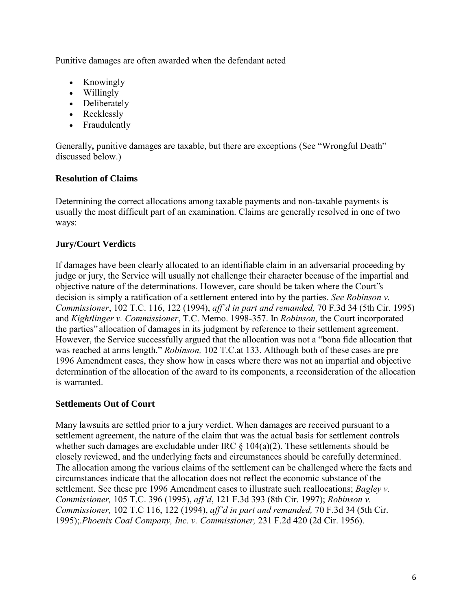Punitive damages are often awarded when the defendant acted

- Knowingly
- Willingly
- Deliberately
- Recklessly
- Fraudulently

Generally**,** punitive damages are taxable, but there are exceptions (See "Wrongful Death" discussed below.)

#### **Resolution of Claims**

Determining the correct allocations among taxable payments and non-taxable payments is usually the most difficult part of an examination. Claims are generally resolved in one of two ways:

### **Jury/Court Verdicts**

If damages have been clearly allocated to an identifiable claim in an adversarial proceeding by judge or jury, the Service will usually not challenge their character because of the impartial and objective nature of the determinations. However, care should be taken where the Court"s decision is simply a ratification of a settlement entered into by the parties. *See Robinson v. Commissioner*, 102 T.C. 116, 122 (1994), *aff'd in part and remanded,* 70 F.3d 34 (5th Cir. 1995) and *Kightlinger v. Commissioner*, T.C. Memo. 1998-357. In *Robinson,* the Court incorporated the parties" allocation of damages in its judgment by reference to their settlement agreement. However, the Service successfully argued that the allocation was not a "bona fide allocation that was reached at arms length." *Robinson,* 102 T.C.at 133. Although both of these cases are pre 1996 Amendment cases, they show how in cases where there was not an impartial and objective determination of the allocation of the award to its components, a reconsideration of the allocation is warranted.

#### **Settlements Out of Court**

Many lawsuits are settled prior to a jury verdict. When damages are received pursuant to a settlement agreement, the nature of the claim that was the actual basis for settlement controls whether such damages are excludable under IRC  $\S$  104(a)(2). These settlements should be closely reviewed, and the underlying facts and circumstances should be carefully determined. The allocation among the various claims of the settlement can be challenged where the facts and circumstances indicate that the allocation does not reflect the economic substance of the settlement. See these pre 1996 Amendment cases to illustrate such reallocations; *Bagley v. Commissioner,* 105 T.C. 396 (1995), *aff'd*, 121 F.3d 393 (8th Cir. 1997); *Robinson v. Commissioner,* 102 T.C 116, 122 (1994), *aff'd in part and remanded,* 70 F.3d 34 (5th Cir. 1995);.*Phoenix Coal Company, Inc. v. Commissioner,* 231 F.2d 420 (2d Cir. 1956).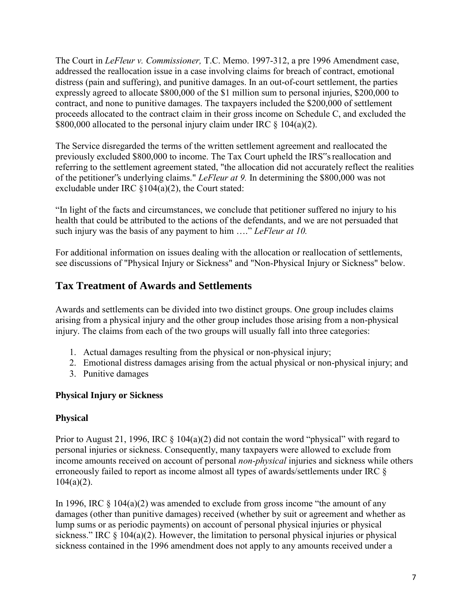The Court in *LeFleur v. Commissioner,* T.C. Memo. 1997-312, a pre 1996 Amendment case, addressed the reallocation issue in a case involving claims for breach of contract, emotional distress (pain and suffering), and punitive damages. In an out-of-court settlement, the parties expressly agreed to allocate \$800,000 of the \$1 million sum to personal injuries, \$200,000 to contract, and none to punitive damages. The taxpayers included the \$200,000 of settlement proceeds allocated to the contract claim in their gross income on Schedule C, and excluded the \$800,000 allocated to the personal injury claim under IRC  $\S$  104(a)(2).

The Service disregarded the terms of the written settlement agreement and reallocated the previously excluded \$800,000 to income. The Tax Court upheld the IRS"s reallocation and referring to the settlement agreement stated, "the allocation did not accurately reflect the realities of the petitioner"s underlying claims." *LeFleur at 9.* In determining the \$800,000 was not excludable under IRC §104(a)(2), the Court stated:

"In light of the facts and circumstances, we conclude that petitioner suffered no injury to his health that could be attributed to the actions of the defendants, and we are not persuaded that such injury was the basis of any payment to him …." *LeFleur at 10.*

For additional information on issues dealing with the allocation or reallocation of settlements, see discussions of "Physical Injury or Sickness" and "Non-Physical Injury or Sickness" below.

## <span id="page-7-0"></span>**Tax Treatment of Awards and Settlements**

Awards and settlements can be divided into two distinct groups. One group includes claims arising from a physical injury and the other group includes those arising from a non-physical injury. The claims from each of the two groups will usually fall into three categories:

- 1. Actual damages resulting from the physical or non-physical injury;
- 2. Emotional distress damages arising from the actual physical or non-physical injury; and
- 3. Punitive damages

### **Physical Injury or Sickness**

#### **Physical**

Prior to August 21, 1996, IRC  $\S$  104(a)(2) did not contain the word "physical" with regard to personal injuries or sickness. Consequently, many taxpayers were allowed to exclude from income amounts received on account of personal *non-physical* injuries and sickness while others erroneously failed to report as income almost all types of awards/settlements under IRC §  $104(a)(2)$ .

In 1996, IRC  $\S 104(a)(2)$  was amended to exclude from gross income "the amount of any damages (other than punitive damages) received (whether by suit or agreement and whether as lump sums or as periodic payments) on account of personal physical injuries or physical sickness." IRC  $\S$  104(a)(2). However, the limitation to personal physical injuries or physical sickness contained in the 1996 amendment does not apply to any amounts received under a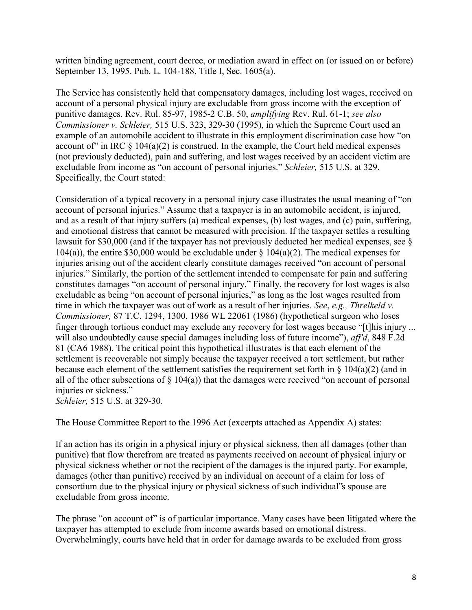written binding agreement, court decree, or mediation award in effect on (or issued on or before) September 13, 1995. Pub. L. 104-188, Title I, Sec. 1605(a).

The Service has consistently held that compensatory damages, including lost wages, received on account of a personal physical injury are excludable from gross income with the exception of punitive damages. Rev. Rul. 85-97, 1985-2 C.B. 50, *amplifying* Rev. Rul. 61-1; *see also Commissioner v. Schleier,* 515 U.S. 323, 329-30 (1995), in which the Supreme Court used an example of an automobile accident to illustrate in this employment discrimination case how "on account of" in IRC  $\S$  104(a)(2) is construed. In the example, the Court held medical expenses (not previously deducted), pain and suffering, and lost wages received by an accident victim are excludable from income as "on account of personal injuries." *Schleier,* 515 U.S. at 329. Specifically, the Court stated:

Consideration of a typical recovery in a personal injury case illustrates the usual meaning of "on account of personal injuries." Assume that a taxpayer is in an automobile accident, is injured, and as a result of that injury suffers (a) medical expenses, (b) lost wages, and (c) pain, suffering, and emotional distress that cannot be measured with precision. If the taxpayer settles a resulting lawsuit for \$30,000 (and if the taxpayer has not previously deducted her medical expenses, see § 104(a)), the entire \$30,000 would be excludable under  $\S$  104(a)(2). The medical expenses for injuries arising out of the accident clearly constitute damages received "on account of personal injuries." Similarly, the portion of the settlement intended to compensate for pain and suffering constitutes damages "on account of personal injury." Finally, the recovery for lost wages is also excludable as being "on account of personal injuries," as long as the lost wages resulted from time in which the taxpayer was out of work as a result of her injuries. *See*, *e.g., Threlkeld v. Commissioner,* 87 T.C. 1294, 1300, 1986 WL 22061 (1986) (hypothetical surgeon who loses finger through tortious conduct may exclude any recovery for lost wages because "[t]his injury ... will also undoubtedly cause special damages including loss of future income"), *aff'd*, 848 F.2d 81 (CA6 1988). The critical point this hypothetical illustrates is that each element of the settlement is recoverable not simply because the taxpayer received a tort settlement, but rather because each element of the settlement satisfies the requirement set forth in  $\S$  104(a)(2) (and in all of the other subsections of  $\S$  104(a)) that the damages were received "on account of personal injuries or sickness."

*Schleier,* 515 U.S. at 329-30*.*

The House Committee Report to the 1996 Act (excerpts attached as Appendix A) states:

If an action has its origin in a physical injury or physical sickness, then all damages (other than punitive) that flow therefrom are treated as payments received on account of physical injury or physical sickness whether or not the recipient of the damages is the injured party. For example, damages (other than punitive) received by an individual on account of a claim for loss of consortium due to the physical injury or physical sickness of such individual"s spouse are excludable from gross income.

The phrase "on account of" is of particular importance. Many cases have been litigated where the taxpayer has attempted to exclude from income awards based on emotional distress. Overwhelmingly, courts have held that in order for damage awards to be excluded from gross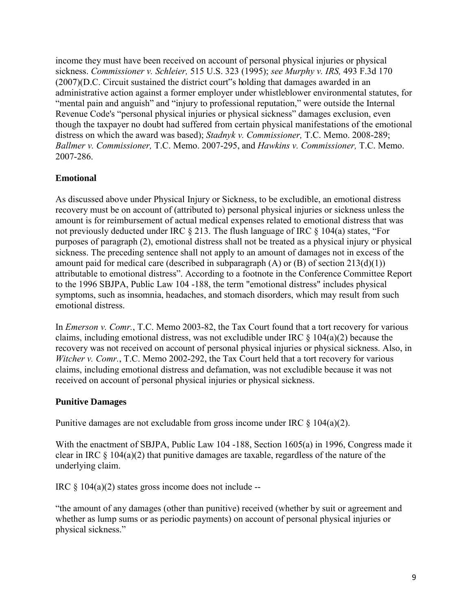income they must have been received on account of personal physical injuries or physical sickness. *Commissioner v. Schleier,* 515 U.S. 323 (1995); *see Murphy v. IRS,* 493 F.3d 170 (2007)(D.C. Circuit sustained the district court"s holding that damages awarded in an administrative action against a former employer under whistleblower environmental statutes, for "mental pain and anguish" and "injury to professional reputation," were outside the Internal Revenue Code's "personal physical injuries or physical sickness" damages exclusion, even though the taxpayer no doubt had suffered from certain physical manifestations of the emotional distress on which the award was based); *Stadnyk v. Commissioner,* T.C. Memo. 2008-289; *Ballmer v. Commissioner,* T.C. Memo. 2007-295, and *Hawkins v. Commissioner,* T.C. Memo. 2007-286.

### **Emotional**

As discussed above under Physical Injury or Sickness, to be excludible, an emotional distress recovery must be on account of (attributed to) personal physical injuries or sickness unless the amount is for reimbursement of actual medical expenses related to emotional distress that was not previously deducted under IRC § 213. The flush language of IRC § 104(a) states, "For purposes of paragraph (2), emotional distress shall not be treated as a physical injury or physical sickness. The preceding sentence shall not apply to an amount of damages not in excess of the amount paid for medical care (described in subparagraph  $(A)$  or  $(B)$  of section  $213(d)(1)$ ) attributable to emotional distress". According to a footnote in the Conference Committee Report to the 1996 SBJPA, Public Law 104 -188, the term "emotional distress" includes physical symptoms, such as insomnia, headaches, and stomach disorders, which may result from such emotional distress.

In *Emerson v. Comr.*, T.C. Memo 2003-82, the Tax Court found that a tort recovery for various claims, including emotional distress, was not excludible under IRC  $\S$  104(a)(2) because the recovery was not received on account of personal physical injuries or physical sickness. Also, in *Witcher v. Comr.*, T.C. Memo 2002-292, the Tax Court held that a tort recovery for various claims, including emotional distress and defamation, was not excludible because it was not received on account of personal physical injuries or physical sickness.

#### **Punitive Damages**

Punitive damages are not excludable from gross income under IRC  $\S$  104(a)(2).

With the enactment of SBJPA, Public Law 104 -188, Section 1605(a) in 1996, Congress made it clear in IRC  $\S$  104(a)(2) that punitive damages are taxable, regardless of the nature of the underlying claim.

IRC  $\S$  104(a)(2) states gross income does not include --

"the amount of any damages (other than punitive) received (whether by suit or agreement and whether as lump sums or as periodic payments) on account of personal physical injuries or physical sickness."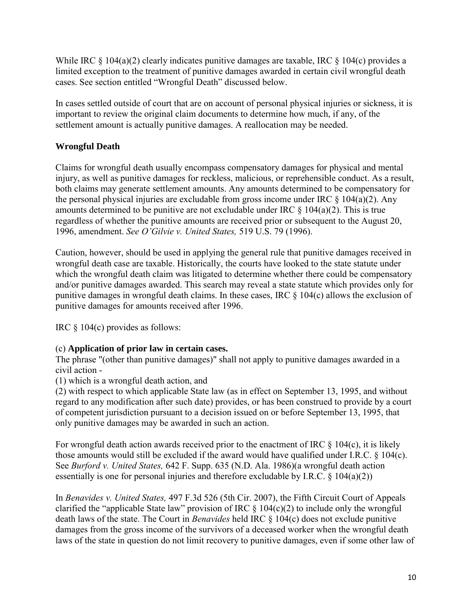While IRC  $\S 104(a)(2)$  clearly indicates punitive damages are taxable, IRC  $\S 104(c)$  provides a limited exception to the treatment of punitive damages awarded in certain civil wrongful death cases. See section entitled "Wrongful Death" discussed below.

In cases settled outside of court that are on account of personal physical injuries or sickness, it is important to review the original claim documents to determine how much, if any, of the settlement amount is actually punitive damages. A reallocation may be needed.

## **Wrongful Death**

Claims for wrongful death usually encompass compensatory damages for physical and mental injury, as well as punitive damages for reckless, malicious, or reprehensible conduct. As a result, both claims may generate settlement amounts. Any amounts determined to be compensatory for the personal physical injuries are excludable from gross income under IRC  $\S$  104(a)(2). Any amounts determined to be punitive are not excludable under IRC  $\S$  104(a)(2). This is true regardless of whether the punitive amounts are received prior or subsequent to the August 20, 1996, amendment. *See O'Gilvie v. United States,* 519 U.S. 79 (1996).

Caution, however, should be used in applying the general rule that punitive damages received in wrongful death case are taxable. Historically, the courts have looked to the state statute under which the wrongful death claim was litigated to determine whether there could be compensatory and/or punitive damages awarded. This search may reveal a state statute which provides only for punitive damages in wrongful death claims. In these cases, IRC § 104(c) allows the exclusion of punitive damages for amounts received after 1996.

IRC § 104(c) provides as follows:

### (c) **Application of prior law in certain cases.**

The phrase "(other than punitive damages)" shall not apply to punitive damages awarded in a civil action -

(1) which is a wrongful death action, and

(2) with respect to which applicable State law (as in effect on September 13, 1995, and without regard to any modification after such date) provides, or has been construed to provide by a court of competent jurisdiction pursuant to a decision issued on or before September 13, 1995, that only punitive damages may be awarded in such an action.

For wrongful death action awards received prior to the enactment of IRC  $\S$  104(c), it is likely those amounts would still be excluded if the award would have qualified under I.R.C. § 104(c). See *Burford v. United States,* 642 F. Supp. 635 (N.D. Ala. 1986)(a wrongful death action essentially is one for personal injuries and therefore excludable by I.R.C.  $\S$  104(a)(2))

In *Benavides v. United States,* 497 F.3d 526 (5th Cir. 2007), the Fifth Circuit Court of Appeals clarified the "applicable State law" provision of IRC  $\S$  104(c)(2) to include only the wrongful death laws of the state. The Court in *Benavides* held IRC § 104(c) does not exclude punitive damages from the gross income of the survivors of a deceased worker when the wrongful death laws of the state in question do not limit recovery to punitive damages, even if some other law of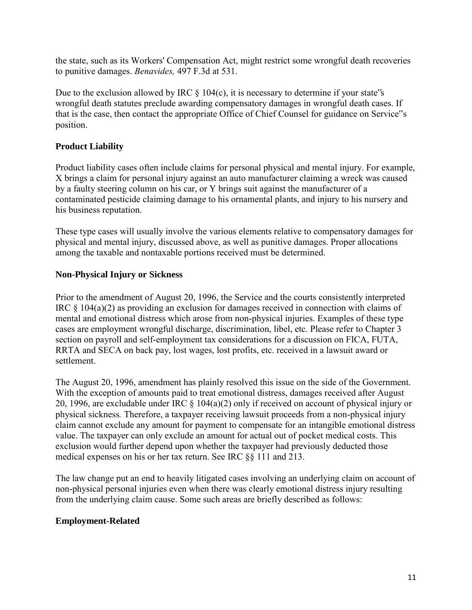the state, such as its Workers' Compensation Act, might restrict some wrongful death recoveries to punitive damages. *Benavides,* 497 F.3d at 531.

Due to the exclusion allowed by IRC  $\S$  104(c), it is necessary to determine if your state"s wrongful death statutes preclude awarding compensatory damages in wrongful death cases. If that is the case, then contact the appropriate Office of Chief Counsel for guidance on Service"s position.

#### **Product Liability**

Product liability cases often include claims for personal physical and mental injury. For example, X brings a claim for personal injury against an auto manufacturer claiming a wreck was caused by a faulty steering column on his car, or Y brings suit against the manufacturer of a contaminated pesticide claiming damage to his ornamental plants, and injury to his nursery and his business reputation.

These type cases will usually involve the various elements relative to compensatory damages for physical and mental injury, discussed above, as well as punitive damages. Proper allocations among the taxable and nontaxable portions received must be determined.

#### **Non-Physical Injury or Sickness**

Prior to the amendment of August 20, 1996, the Service and the courts consistently interpreted IRC § 104(a)(2) as providing an exclusion for damages received in connection with claims of mental and emotional distress which arose from non-physical injuries. Examples of these type cases are employment wrongful discharge, discrimination, libel, etc. Please refer to Chapter 3 section on payroll and self-employment tax considerations for a discussion on FICA, FUTA, RRTA and SECA on back pay, lost wages, lost profits, etc. received in a lawsuit award or settlement.

The August 20, 1996, amendment has plainly resolved this issue on the side of the Government. With the exception of amounts paid to treat emotional distress, damages received after August 20, 1996, are excludable under IRC § 104(a)(2) only if received on account of physical injury or physical sickness*.* Therefore, a taxpayer receiving lawsuit proceeds from a non-physical injury claim cannot exclude any amount for payment to compensate for an intangible emotional distress value. The taxpayer can only exclude an amount for actual out of pocket medical costs. This exclusion would further depend upon whether the taxpayer had previously deducted those medical expenses on his or her tax return. See IRC §§ 111 and 213.

The law change put an end to heavily litigated cases involving an underlying claim on account of non-physical personal injuries even when there was clearly emotional distress injury resulting from the underlying claim cause. Some such areas are briefly described as follows:

#### **Employment-Related**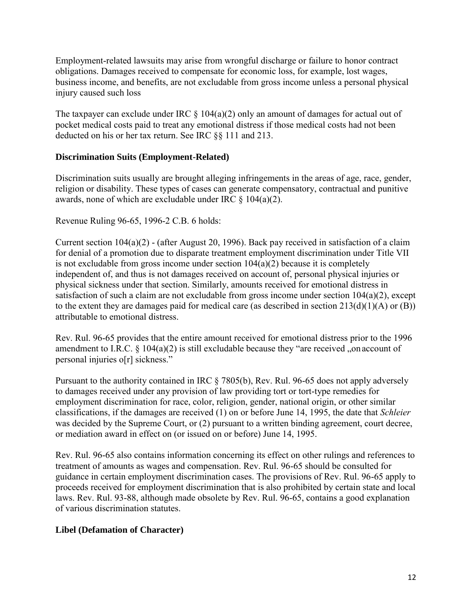Employment-related lawsuits may arise from wrongful discharge or failure to honor contract obligations. Damages received to compensate for economic loss, for example, lost wages, business income, and benefits, are not excludable from gross income unless a personal physical injury caused such loss

The taxpayer can exclude under IRC  $\S$  104(a)(2) only an amount of damages for actual out of pocket medical costs paid to treat any emotional distress if those medical costs had not been deducted on his or her tax return. See IRC §§ 111 and 213.

#### **Discrimination Suits (Employment-Related)**

Discrimination suits usually are brought alleging infringements in the areas of age, race, gender, religion or disability. These types of cases can generate compensatory, contractual and punitive awards, none of which are excludable under IRC  $\S$  104(a)(2).

Revenue Ruling 96-65, 1996-2 C.B. 6 holds:

Current section 104(a)(2) - (after August 20, 1996). Back pay received in satisfaction of a claim for denial of a promotion due to disparate treatment employment discrimination under Title VII is not excludable from gross income under section  $104(a)(2)$  because it is completely independent of, and thus is not damages received on account of, personal physical injuries or physical sickness under that section. Similarly, amounts received for emotional distress in satisfaction of such a claim are not excludable from gross income under section 104(a)(2), except to the extent they are damages paid for medical care (as described in section 213(d)(1)(A) or (B)) attributable to emotional distress.

Rev. Rul. 96-65 provides that the entire amount received for emotional distress prior to the 1996 amendment to I.R.C.  $\S$  104(a)(2) is still excludable because they "are received "on account of personal injuries o[r] sickness."

Pursuant to the authority contained in IRC § 7805(b), Rev. Rul. 96-65 does not apply adversely to damages received under any provision of law providing tort or tort-type remedies for employment discrimination for race, color, religion, gender, national origin, or other similar classifications, if the damages are received (1) on or before June 14, 1995, the date that *Schleier* was decided by the Supreme Court, or (2) pursuant to a written binding agreement, court decree, or mediation award in effect on (or issued on or before) June 14, 1995.

Rev. Rul. 96-65 also contains information concerning its effect on other rulings and references to treatment of amounts as wages and compensation. Rev. Rul. 96-65 should be consulted for guidance in certain employment discrimination cases. The provisions of Rev. Rul. 96-65 apply to proceeds received for employment discrimination that is also prohibited by certain state and local laws. Rev. Rul. 93-88, although made obsolete by Rev. Rul. 96-65, contains a good explanation of various discrimination statutes.

### **Libel (Defamation of Character)**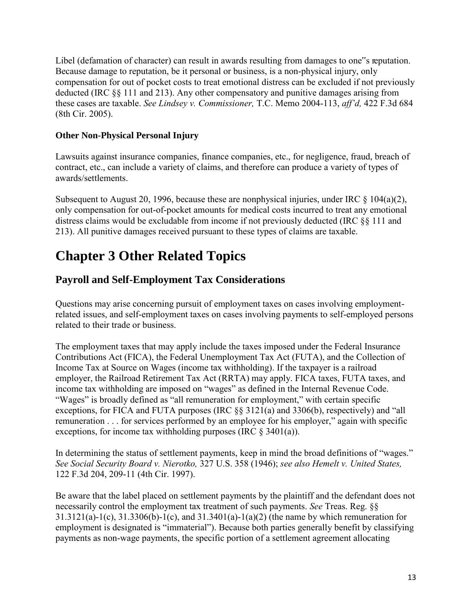Libel (defamation of character) can result in awards resulting from damages to one"s reputation. Because damage to reputation, be it personal or business, is a non-physical injury, only compensation for out of pocket costs to treat emotional distress can be excluded if not previously deducted (IRC §§ 111 and 213). Any other compensatory and punitive damages arising from these cases are taxable. *See Lindsey v. Commissioner,* T.C. Memo 2004-113, *aff'd,* 422 F.3d 684 (8th Cir. 2005).

#### **Other Non-Physical Personal Injury**

Lawsuits against insurance companies, finance companies, etc., for negligence, fraud, breach of contract, etc., can include a variety of claims, and therefore can produce a variety of types of awards/settlements.

Subsequent to August 20, 1996, because these are nonphysical injuries, under IRC  $\S$  104(a)(2), only compensation for out-of-pocket amounts for medical costs incurred to treat any emotional distress claims would be excludable from income if not previously deducted (IRC §§ 111 and 213). All punitive damages received pursuant to these types of claims are taxable.

## <span id="page-13-0"></span>**Chapter 3 Other Related Topics**

## <span id="page-13-1"></span>**Payroll and Self-Employment Tax Considerations**

Questions may arise concerning pursuit of employment taxes on cases involving employmentrelated issues, and self-employment taxes on cases involving payments to self-employed persons related to their trade or business.

The employment taxes that may apply include the taxes imposed under the Federal Insurance Contributions Act (FICA), the Federal Unemployment Tax Act (FUTA), and the Collection of Income Tax at Source on Wages (income tax withholding). If the taxpayer is a railroad employer, the Railroad Retirement Tax Act (RRTA) may apply. FICA taxes, FUTA taxes, and income tax withholding are imposed on "wages" as defined in the Internal Revenue Code. "Wages" is broadly defined as "all remuneration for employment," with certain specific exceptions, for FICA and FUTA purposes (IRC §§ 3121(a) and 3306(b), respectively) and "all remuneration . . . for services performed by an employee for his employer," again with specific exceptions, for income tax withholding purposes (IRC  $\S$  3401(a)).

In determining the status of settlement payments, keep in mind the broad definitions of "wages." *See Social Security Board v. Nierotko,* 327 U.S. 358 (1946); *see also Hemelt v. United States,* 122 F.3d 204, 209-11 (4th Cir. 1997).

Be aware that the label placed on settlement payments by the plaintiff and the defendant does not necessarily control the employment tax treatment of such payments. *See* Treas. Reg. §§ 31.3121(a)-1(c), 31.3306(b)-1(c), and 31.3401(a)-1(a)(2) (the name by which remuneration for employment is designated is "immaterial"). Because both parties generally benefit by classifying payments as non-wage payments, the specific portion of a settlement agreement allocating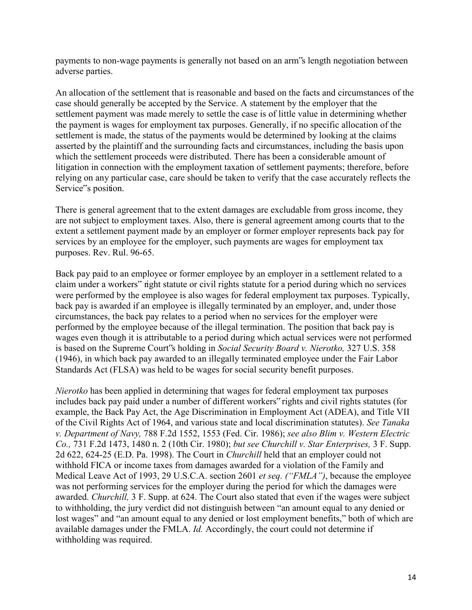payments to non-wage payments is generally not based on an arm"s length negotiation between adverse parties.

An allocation of the settlement that is reasonable and based on the facts and circumstances of the case should generally be accepted by the Service. A statement by the employer that the settlement payment was made merely to settle the case is of little value in determining whether the payment is wages for employment tax purposes. Generally, if no specific allocation of the settlement is made, the status of the payments would be determined by looking at the claims asserted by the plaintiff and the surrounding facts and circumstances, including the basis upon which the settlement proceeds were distributed. There has been a considerable amount of litigation in connection with the employment taxation of settlement payments; therefore, before relying on any particular case, care should be taken to verify that the case accurately reflects the Service"s position.

There is general agreement that to the extent damages are excludable from gross income, they are not subject to employment taxes. Also, there is general agreement among courts that to the extent a settlement payment made by an employer or former employer represents back pay for services by an employee for the employer, such payments are wages for employment tax purposes. Rev. Rul. 96-65.

Back pay paid to an employee or former employee by an employer in a settlement related to a claim under a workers" right statute or civil rights statute for a period during which no services were performed by the employee is also wages for federal employment tax purposes. Typically, back pay is awarded if an employee is illegally terminated by an employer, and, under those circumstances, the back pay relates to a period when no services for the employer were performed by the employee because of the illegal termination. The position that back pay is wages even though it is attributable to a period during which actual services were not performed is based on the Supreme Court"s holding in *Social Security Board v. Nierotko,* 327 U.S. 358 (1946), in which back pay awarded to an illegally terminated employee under the Fair Labor Standards Act (FLSA) was held to be wages for social security benefit purposes.

*Nierotko* has been applied in determining that wages for federal employment tax purposes includes back pay paid under a number of different workers" rights and civil rights statutes (for example, the Back Pay Act, the Age Discrimination in Employment Act (ADEA), and Title VII of the Civil Rights Act of 1964, and various state and local discrimination statutes). *See Tanaka v. Department of Navy,* 788 F.2d 1552, 1553 (Fed. Cir. 1986); *see also Blim v. Western Electric Co.,* 731 F.2d 1473, 1480 n. 2 (10th Cir. 1980); *but see Churchill v. Star Enterprises,* 3 F. Supp. 2d 622, 624-25 (E.D. Pa. 1998). The Court in *Churchill* held that an employer could not withhold FICA or income taxes from damages awarded for a violation of the Family and Medical Leave Act of 1993, 29 U.S.C.A. section 2601 *et seq. ("FMLA")*, because the employee was not performing services for the employer during the period for which the damages were awarded. *Churchill,* 3 F. Supp. at 624. The Court also stated that even if the wages were subject to withholding, the jury verdict did not distinguish between "an amount equal to any denied or lost wages" and "an amount equal to any denied or lost employment benefits," both of which are available damages under the FMLA. *Id.* Accordingly, the court could not determine if withholding was required.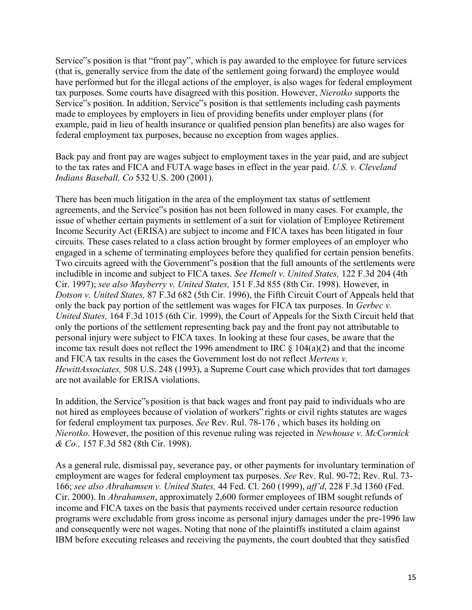Service"s position is that "front pay", which is pay awarded to the employee for future services (that is, generally service from the date of the settlement going forward) the employee would have performed but for the illegal actions of the employer, is also wages for federal employment tax purposes. Some courts have disagreed with this position. However, *Nierotko* supports the Service"s position. In addition, Service"s position is that settlements including cash payments made to employees by employers in lieu of providing benefits under employer plans (for example, paid in lieu of health insurance or qualified pension plan benefits) are also wages for federal employment tax purposes, because no exception from wages applies.

Back pay and front pay are wages subject to employment taxes in the year paid, and are subject to the tax rates and FICA and FUTA wage bases in effect in the year paid. *U.S. v. Cleveland Indians Baseball, Co* 532 U.S. 200 (2001).

There has been much litigation in the area of the employment tax status of settlement agreements, and the Service"s position has not been followed in many cases. For example, the issue of whether certain payments in settlement of a suit for violation of Employee Retirement Income Security Act (ERISA) are subject to income and FICA taxes has been litigated in four circuits. These cases related to a class action brought by former employees of an employer who engaged in a scheme of terminating employees before they qualified for certain pension benefits. Two circuits agreed with the Government"s position that the full amounts of the settlements were includible in income and subject to FICA taxes. *See Hemelt v. United States,* 122 F.3d 204 (4th Cir. 1997); *see also Mayberry v. United States,* 151 F.3d 855 (8th Cir. 1998). However, in *Dotson v. United States,* 87 F.3d 682 (5th Cir. 1996), the Fifth Circuit Court of Appeals held that only the back pay portion of the settlement was wages for FICA tax purposes. In *Gerbec v. United States,* 164 F.3d 1015 (6th Cir. 1999), the Court of Appeals for the Sixth Circuit held that only the portions of the settlement representing back pay and the front pay not attributable to personal injury were subject to FICA taxes. In looking at these four cases, be aware that the income tax result does not reflect the 1996 amendment to IRC  $\S$  104(a)(2) and that the income and FICA tax results in the cases the Government lost do not reflect *Mertens v. HewittAssociates,* 508 U.S. 248 (1993), a Supreme Court case which provides that tort damages are not available for ERISA violations.

In addition, the Service"s position is that back wages and front pay paid to individuals who are not hired as employees because of violation of workers" rights or civil rights statutes are wages for federal employment tax purposes. *See* Rev. Rul. 78-176 , which bases its holding on *Nierotko*. However, the position of this revenue ruling was rejected in *Newhouse v. McCormick & Co.,* 157 F.3d 582 (8th Cir. 1998).

As a general rule, dismissal pay, severance pay, or other payments for involuntary termination of employment are wages for federal employment tax purposes. *See* Rev. Rul. 90-72; Rev. Rul. 73- 166; *see also Abrahamsen v. United States,* 44 Fed. Cl. 260 (1999), *aff'd*, 228 F.3d 1360 (Fed. Cir. 2000). In *Abrahamsen*, approximately 2,600 former employees of IBM sought refunds of income and FICA taxes on the basis that payments received under certain resource reduction programs were excludable from gross income as personal injury damages under the pre-1996 law and consequently were not wages. Noting that none of the plaintiffs instituted a claim against IBM before executing releases and receiving the payments, the court doubted that they satisfied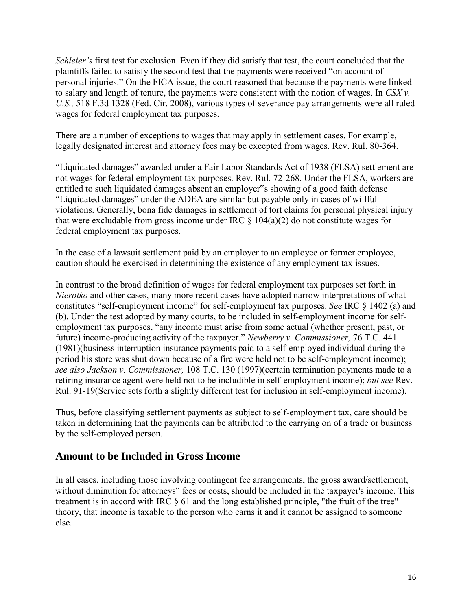*Schleier's* first test for exclusion. Even if they did satisfy that test, the court concluded that the plaintiffs failed to satisfy the second test that the payments were received "on account of personal injuries." On the FICA issue, the court reasoned that because the payments were linked to salary and length of tenure, the payments were consistent with the notion of wages. In *CSX v. U.S.,* 518 F.3d 1328 (Fed. Cir. 2008), various types of severance pay arrangements were all ruled wages for federal employment tax purposes.

There are a number of exceptions to wages that may apply in settlement cases. For example, legally designated interest and attorney fees may be excepted from wages. Rev. Rul. 80-364.

"Liquidated damages" awarded under a Fair Labor Standards Act of 1938 (FLSA) settlement are not wages for federal employment tax purposes. Rev. Rul. 72-268. Under the FLSA, workers are entitled to such liquidated damages absent an employer"s showing of a good faith defense "Liquidated damages" under the ADEA are similar but payable only in cases of willful violations. Generally, bona fide damages in settlement of tort claims for personal physical injury that were excludable from gross income under IRC  $\S$  104(a)(2) do not constitute wages for federal employment tax purposes.

In the case of a lawsuit settlement paid by an employer to an employee or former employee, caution should be exercised in determining the existence of any employment tax issues.

In contrast to the broad definition of wages for federal employment tax purposes set forth in *Nierotko* and other cases, many more recent cases have adopted narrow interpretations of what constitutes "self-employment income" for self-employment tax purposes. *See* IRC § 1402 (a) and (b). Under the test adopted by many courts, to be included in self-employment income for selfemployment tax purposes, "any income must arise from some actual (whether present, past, or future) income-producing activity of the taxpayer." *Newberry v. Commissioner,* 76 T.C. 441 (1981)(business interruption insurance payments paid to a self-employed individual during the period his store was shut down because of a fire were held not to be self-employment income); *see also Jackson v. Commissioner,* 108 T.C. 130 (1997)(certain termination payments made to a retiring insurance agent were held not to be includible in self-employment income); *but see* Rev. Rul. 91-19(Service sets forth a slightly different test for inclusion in self-employment income).

Thus, before classifying settlement payments as subject to self-employment tax, care should be taken in determining that the payments can be attributed to the carrying on of a trade or business by the self-employed person.

## <span id="page-16-0"></span>**Amount to be Included in Gross Income**

In all cases, including those involving contingent fee arrangements, the gross award/settlement, without diminution for attorneys" fees or costs, should be included in the taxpayer's income. This treatment is in accord with IRC § 61 and the long established principle, "the fruit of the tree" theory, that income is taxable to the person who earns it and it cannot be assigned to someone else.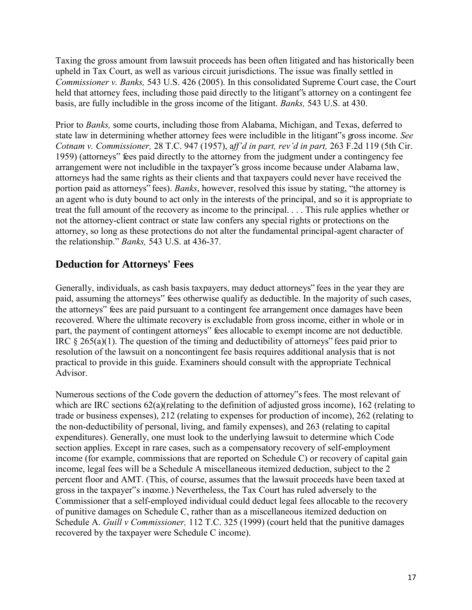Taxing the gross amount from lawsuit proceeds has been often litigated and has historically been upheld in Tax Court, as well as various circuit jurisdictions. The issue was finally settled in *Commissioner v. Banks,* 543 U.S. 426 (2005). In this consolidated Supreme Court case, the Court held that attorney fees, including those paid directly to the litigant's attorney on a contingent fee basis, are fully includible in the gross income of the litigant. *Banks,* 543 U.S. at 430.

Prior to *Banks,* some courts, including those from Alabama, Michigan, and Texas, deferred to state law in determining whether attorney fees were includible in the litigant"s gross income. *See Cotnam v. Commissioner,* 28 T.C. 947 (1957), a*ff'd in part, rev'd in part,* 263 F.2d 119 (5th Cir. 1959) (attorneys" fees paid directly to the attorney from the judgment under a contingency fee arrangement were not includible in the taxpayer"s gross income because under Alabama law, attorneys had the same rights as their clients and that taxpayers could never have received the portion paid as attorneys" fees). *Banks*, however, resolved this issue by stating, "the attorney is an agent who is duty bound to act only in the interests of the principal, and so it is appropriate to treat the full amount of the recovery as income to the principal. . . . This rule applies whether or not the attorney-client contract or state law confers any special rights or protections on the attorney, so long as these protections do not alter the fundamental principal-agent character of the relationship." *Banks,* 543 U.S. at 436-37.

## <span id="page-17-0"></span>**Deduction for Attorneys' Fees**

Generally, individuals, as cash basis taxpayers, may deduct attorneys" fees in the year they are paid, assuming the attorneys" fees otherwise qualify as deductible. In the majority of such cases, the attorneys" fees are paid pursuant to a contingent fee arrangement once damages have been recovered. Where the ultimate recovery is excludable from gross income, either in whole or in part, the payment of contingent attorneys" fees allocable to exempt income are not deductible. IRC § 265(a)(1). The question of the timing and deductibility of attorneys" fees paid prior to resolution of the lawsuit on a noncontingent fee basis requires additional analysis that is not practical to provide in this guide. Examiners should consult with the appropriate Technical Advisor.

Numerous sections of the Code govern the deduction of attorney"s fees. The most relevant of which are IRC sections 62(a)(relating to the definition of adjusted gross income), 162 (relating to trade or business expenses), 212 (relating to expenses for production of income), 262 (relating to the non-deductibility of personal, living, and family expenses), and 263 (relating to capital expenditures). Generally, one must look to the underlying lawsuit to determine which Code section applies. Except in rare cases, such as a compensatory recovery of self-employment income (for example, commissions that are reported on Schedule C) or recovery of capital gain income, legal fees will be a Schedule A miscellaneous itemized deduction, subject to the 2 percent floor and AMT. (This, of course, assumes that the lawsuit proceeds have been taxed at gross in the taxpayer"s income.) Nevertheless, the Tax Court has ruled adversely to the Commissioner that a self-employed individual could deduct legal fees allocable to the recovery of punitive damages on Schedule C, rather than as a miscellaneous itemized deduction on Schedule A. *Guill v Commissioner,* 112 T.C. 325 (1999) (court held that the punitive damages recovered by the taxpayer were Schedule C income).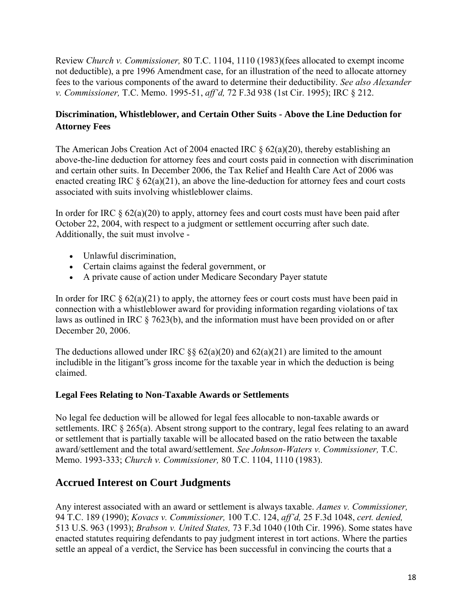Review *Church v. Commissioner,* 80 T.C. 1104, 1110 (1983)(fees allocated to exempt income not deductible), a pre 1996 Amendment case, for an illustration of the need to allocate attorney fees to the various components of the award to determine their deductibility. *See also Alexander v. Commissioner,* T.C. Memo. 1995-51, *aff'd,* 72 F.3d 938 (1st Cir. 1995); IRC § 212.

## **Discrimination, Whistleblower, and Certain Other Suits - Above the Line Deduction for Attorney Fees**

The American Jobs Creation Act of 2004 enacted IRC § 62(a)(20), thereby establishing an above-the-line deduction for attorney fees and court costs paid in connection with discrimination and certain other suits. In December 2006, the Tax Relief and Health Care Act of 2006 was enacted creating IRC  $\S 62(a)(21)$ , an above the line-deduction for attorney fees and court costs associated with suits involving whistleblower claims.

In order for IRC  $\& 62(a)(20)$  to apply, attorney fees and court costs must have been paid after October 22, 2004, with respect to a judgment or settlement occurring after such date. Additionally, the suit must involve -

- Unlawful discrimination,
- Certain claims against the federal government, or
- A private cause of action under Medicare Secondary Payer statute

In order for IRC  $\S 62(a)(21)$  to apply, the attorney fees or court costs must have been paid in connection with a whistleblower award for providing information regarding violations of tax laws as outlined in IRC § 7623(b), and the information must have been provided on or after December 20, 2006.

The deductions allowed under IRC  $\S$ § 62(a)(20) and 62(a)(21) are limited to the amount includible in the litigant"s gross income for the taxable year in which the deduction is being claimed.

#### **Legal Fees Relating to Non-Taxable Awards or Settlements**

No legal fee deduction will be allowed for legal fees allocable to non-taxable awards or settlements. IRC § 265(a). Absent strong support to the contrary, legal fees relating to an award or settlement that is partially taxable will be allocated based on the ratio between the taxable award/settlement and the total award/settlement. *See Johnson-Waters v. Commissioner,* T.C. Memo. 1993-333; *Church v. Commissioner,* 80 T.C. 1104, 1110 (1983).

## <span id="page-18-0"></span>**Accrued Interest on Court Judgments**

Any interest associated with an award or settlement is always taxable. *Aames v. Commissioner,* 94 T.C. 189 (1990); *Kovacs v. Commissioner,* 100 T.C. 124, *aff'd,* 25 F.3d 1048, *cert. denied,* 513 U.S. 963 (1993); *Brabson v. United States,* 73 F.3d 1040 (10th Cir. 1996). Some states have enacted statutes requiring defendants to pay judgment interest in tort actions. Where the parties settle an appeal of a verdict, the Service has been successful in convincing the courts that a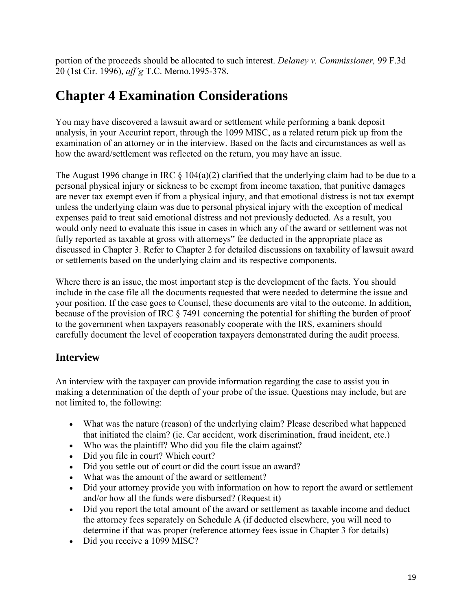portion of the proceeds should be allocated to such interest. *Delaney v. Commissioner,* 99 F.3d 20 (1st Cir. 1996), *aff'g* T.C. Memo.1995-378.

## <span id="page-19-0"></span>**Chapter 4 Examination Considerations**

You may have discovered a lawsuit award or settlement while performing a bank deposit analysis, in your Accurint report, through the 1099 MISC, as a related return pick up from the examination of an attorney or in the interview. Based on the facts and circumstances as well as how the award/settlement was reflected on the return, you may have an issue.

The August 1996 change in IRC  $\S$  104(a)(2) clarified that the underlying claim had to be due to a personal physical injury or sickness to be exempt from income taxation, that punitive damages are never tax exempt even if from a physical injury, and that emotional distress is not tax exempt unless the underlying claim was due to personal physical injury with the exception of medical expenses paid to treat said emotional distress and not previously deducted. As a result, you would only need to evaluate this issue in cases in which any of the award or settlement was not fully reported as taxable at gross with attorneys" fee deducted in the appropriate place as discussed in Chapter 3. Refer to Chapter 2 for detailed discussions on taxability of lawsuit award or settlements based on the underlying claim and its respective components.

Where there is an issue, the most important step is the development of the facts. You should include in the case file all the documents requested that were needed to determine the issue and your position. If the case goes to Counsel, these documents are vital to the outcome. In addition, because of the provision of IRC § 7491 concerning the potential for shifting the burden of proof to the government when taxpayers reasonably cooperate with the IRS, examiners should carefully document the level of cooperation taxpayers demonstrated during the audit process.

## <span id="page-19-1"></span>**Interview**

An interview with the taxpayer can provide information regarding the case to assist you in making a determination of the depth of your probe of the issue. Questions may include, but are not limited to, the following:

- What was the nature (reason) of the underlying claim? Please described what happened that initiated the claim? (ie. Car accident, work discrimination, fraud incident, etc.)
- Who was the plaintiff? Who did you file the claim against?
- Did you file in court? Which court?
- Did you settle out of court or did the court issue an award?
- What was the amount of the award or settlement?
- Did your attorney provide you with information on how to report the award or settlement and/or how all the funds were disbursed? (Request it)
- Did you report the total amount of the award or settlement as taxable income and deduct the attorney fees separately on Schedule A (if deducted elsewhere, you will need to determine if that was proper (reference attorney fees issue in Chapter 3 for details)
- Did you receive a 1099 MISC?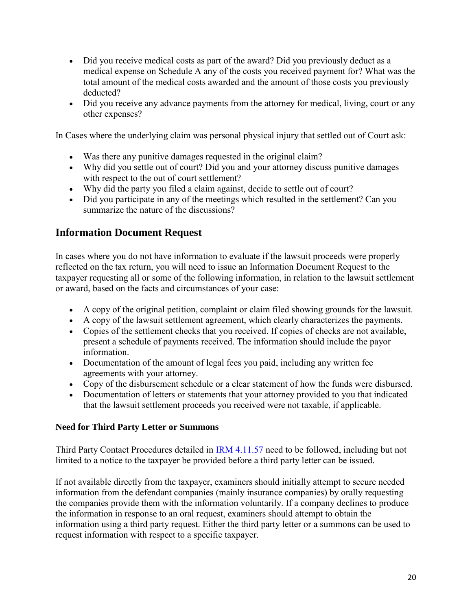- Did you receive medical costs as part of the award? Did you previously deduct as a medical expense on Schedule A any of the costs you received payment for? What was the total amount of the medical costs awarded and the amount of those costs you previously deducted?
- Did you receive any advance payments from the attorney for medical, living, court or any other expenses?

In Cases where the underlying claim was personal physical injury that settled out of Court ask:

- Was there any punitive damages requested in the original claim?
- Why did you settle out of court? Did you and your attorney discuss punitive damages with respect to the out of court settlement?
- Why did the party you filed a claim against, decide to settle out of court?
- Did you participate in any of the meetings which resulted in the settlement? Can you summarize the nature of the discussions?

## <span id="page-20-0"></span>**Information Document Request**

In cases where you do not have information to evaluate if the lawsuit proceeds were properly reflected on the tax return, you will need to issue an Information Document Request to the taxpayer requesting all or some of the following information, in relation to the lawsuit settlement or award, based on the facts and circumstances of your case:

- A copy of the original petition, complaint or claim filed showing grounds for the lawsuit.
- A copy of the lawsuit settlement agreement, which clearly characterizes the payments.
- Copies of the settlement checks that you received. If copies of checks are not available, present a schedule of payments received. The information should include the payor information.
- Documentation of the amount of legal fees you paid, including any written fee agreements with your attorney.
- Copy of the disbursement schedule or a clear statement of how the funds were disbursed.
- Documentation of letters or statements that your attorney provided to you that indicated that the lawsuit settlement proceeds you received were not taxable, if applicable.

### **Need for Third Party Letter or Summons**

Third Party Contact Procedures detailed in [IRM 4.11.57](http://www.irs.gov/irm/part4/irm_04-011-057.html) need to be followed, including but not limited to a notice to the taxpayer be provided before a third party letter can be issued.

If not available directly from the taxpayer, examiners should initially attempt to secure needed information from the defendant companies (mainly insurance companies) by orally requesting the companies provide them with the information voluntarily. If a company declines to produce the information in response to an oral request, examiners should attempt to obtain the information using a third party request. Either the third party letter or a summons can be used to request information with respect to a specific taxpayer.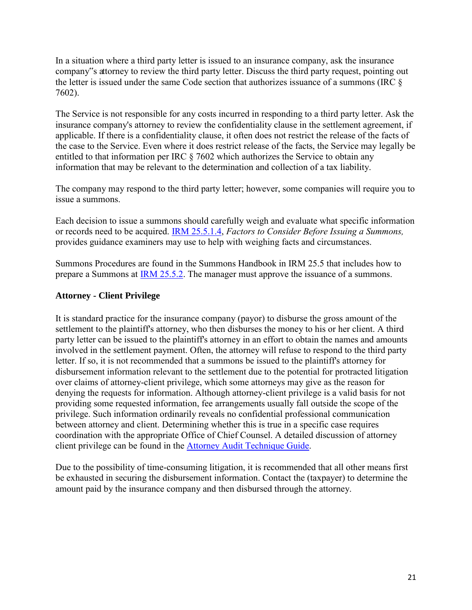In a situation where a third party letter is issued to an insurance company, ask the insurance company"s attorney to review the third party letter. Discuss the third party request, pointing out the letter is issued under the same Code section that authorizes issuance of a summons (IRC § 7602).

The Service is not responsible for any costs incurred in responding to a third party letter. Ask the insurance company's attorney to review the confidentiality clause in the settlement agreement, if applicable. If there is a confidentiality clause, it often does not restrict the release of the facts of the case to the Service. Even where it does restrict release of the facts, the Service may legally be entitled to that information per IRC § 7602 which authorizes the Service to obtain any information that may be relevant to the determination and collection of a tax liability.

The company may respond to the third party letter; however, some companies will require you to issue a summons.

Each decision to issue a summons should carefully weigh and evaluate what specific information or records need to be acquired. [IRM 25.5.1.4,](http://www.irs.gov/irm/part25/irm_25-005-001.html#d0e353) *Factors to Consider Before Issuing a Summons,* provides guidance examiners may use to help with weighing facts and circumstances.

Summons Procedures are found in the Summons Handbook in IRM 25.5 that includes how to prepare a Summons at [IRM 25.5.2.](http://www.irs.gov/irm/part25/irm_25-005-002.html) The manager must approve the issuance of a summons.

#### **Attorney - Client Privilege**

It is standard practice for the insurance company (payor) to disburse the gross amount of the settlement to the plaintiff's attorney, who then disburses the money to his or her client. A third party letter can be issued to the plaintiff's attorney in an effort to obtain the names and amounts involved in the settlement payment. Often, the attorney will refuse to respond to the third party letter. If so, it is not recommended that a summons be issued to the plaintiff's attorney for disbursement information relevant to the settlement due to the potential for protracted litigation over claims of attorney-client privilege, which some attorneys may give as the reason for denying the requests for information. Although attorney-client privilege is a valid basis for not providing some requested information, fee arrangements usually fall outside the scope of the privilege. Such information ordinarily reveals no confidential professional communication between attorney and client. Determining whether this is true in a specific case requires coordination with the appropriate Office of Chief Counsel. A detailed discussion of attorney client privilege can be found in the [Attorney Audit Technique Guide.](http://www.irs.gov/Businesses/Small-Businesses-&-Self-Employed/Attorneys-Audit-Technique-Guide---Chapter-1)

Due to the possibility of time-consuming litigation, it is recommended that all other means first be exhausted in securing the disbursement information. Contact the (taxpayer) to determine the amount paid by the insurance company and then disbursed through the attorney.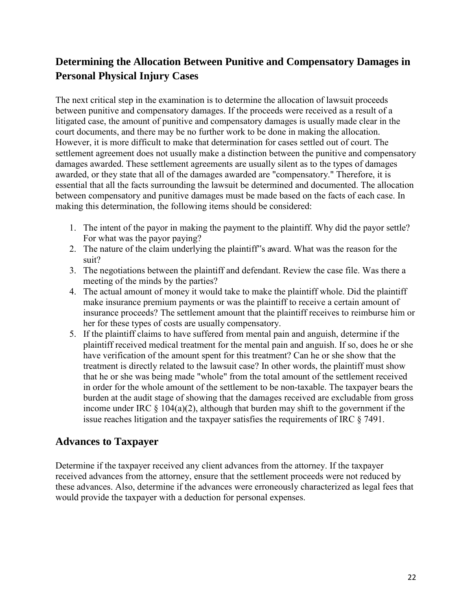## <span id="page-22-0"></span>**Determining the Allocation Between Punitive and Compensatory Damages in Personal Physical Injury Cases**

The next critical step in the examination is to determine the allocation of lawsuit proceeds between punitive and compensatory damages. If the proceeds were received as a result of a litigated case, the amount of punitive and compensatory damages is usually made clear in the court documents, and there may be no further work to be done in making the allocation. However, it is more difficult to make that determination for cases settled out of court. The settlement agreement does not usually make a distinction between the punitive and compensatory damages awarded. These settlement agreements are usually silent as to the types of damages awarded, or they state that all of the damages awarded are "compensatory." Therefore, it is essential that all the facts surrounding the lawsuit be determined and documented. The allocation between compensatory and punitive damages must be made based on the facts of each case. In making this determination, the following items should be considered:

- 1. The intent of the payor in making the payment to the plaintiff. Why did the payor settle? For what was the payor paying?
- 2. The nature of the claim underlying the plaintiff"s award. What was the reason for the suit?
- 3. The negotiations between the plaintiff and defendant. Review the case file. Was there a meeting of the minds by the parties?
- 4. The actual amount of money it would take to make the plaintiff whole. Did the plaintiff make insurance premium payments or was the plaintiff to receive a certain amount of insurance proceeds? The settlement amount that the plaintiff receives to reimburse him or her for these types of costs are usually compensatory.
- 5. If the plaintiff claims to have suffered from mental pain and anguish, determine if the plaintiff received medical treatment for the mental pain and anguish. If so, does he or she have verification of the amount spent for this treatment? Can he or she show that the treatment is directly related to the lawsuit case? In other words, the plaintiff must show that he or she was being made "whole" from the total amount of the settlement received in order for the whole amount of the settlement to be non-taxable. The taxpayer bears the burden at the audit stage of showing that the damages received are excludable from gross income under IRC  $\S$  104(a)(2), although that burden may shift to the government if the issue reaches litigation and the taxpayer satisfies the requirements of IRC § 7491.

## <span id="page-22-1"></span>**Advances to Taxpayer**

Determine if the taxpayer received any client advances from the attorney. If the taxpayer received advances from the attorney, ensure that the settlement proceeds were not reduced by these advances. Also, determine if the advances were erroneously characterized as legal fees that would provide the taxpayer with a deduction for personal expenses.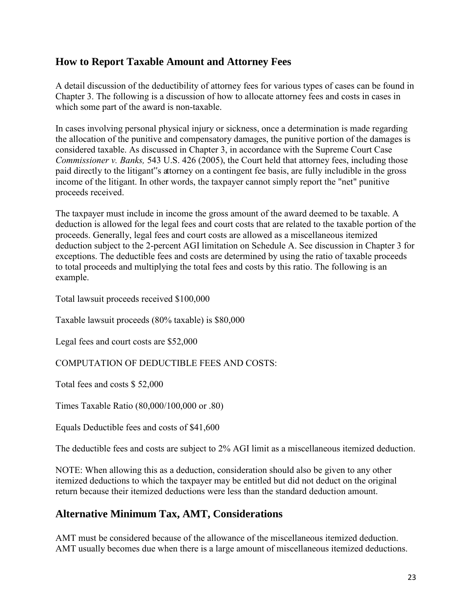## <span id="page-23-0"></span>**How to Report Taxable Amount and Attorney Fees**

A detail discussion of the deductibility of attorney fees for various types of cases can be found in Chapter 3. The following is a discussion of how to allocate attorney fees and costs in cases in which some part of the award is non-taxable.

In cases involving personal physical injury or sickness, once a determination is made regarding the allocation of the punitive and compensatory damages, the punitive portion of the damages is considered taxable. As discussed in Chapter 3, in accordance with the Supreme Court Case *Commissioner v. Banks,* 543 U.S. 426 (2005), the Court held that attorney fees, including those paid directly to the litigant"s attorney on a contingent fee basis, are fully includible in the gross income of the litigant. In other words, the taxpayer cannot simply report the "net" punitive proceeds received.

The taxpayer must include in income the gross amount of the award deemed to be taxable. A deduction is allowed for the legal fees and court costs that are related to the taxable portion of the proceeds. Generally, legal fees and court costs are allowed as a miscellaneous itemized deduction subject to the 2-percent AGI limitation on Schedule A. See discussion in Chapter 3 for exceptions. The deductible fees and costs are determined by using the ratio of taxable proceeds to total proceeds and multiplying the total fees and costs by this ratio. The following is an example.

Total lawsuit proceeds received \$100,000

Taxable lawsuit proceeds (80% taxable) is \$80,000

Legal fees and court costs are \$52,000

COMPUTATION OF DEDUCTIBLE FEES AND COSTS:

Total fees and costs \$ 52,000

Times Taxable Ratio (80,000/100,000 or .80)

Equals Deductible fees and costs of \$41,600

The deductible fees and costs are subject to 2% AGI limit as a miscellaneous itemized deduction.

NOTE: When allowing this as a deduction, consideration should also be given to any other itemized deductions to which the taxpayer may be entitled but did not deduct on the original return because their itemized deductions were less than the standard deduction amount.

## <span id="page-23-1"></span>**Alternative Minimum Tax, AMT, Considerations**

AMT must be considered because of the allowance of the miscellaneous itemized deduction. AMT usually becomes due when there is a large amount of miscellaneous itemized deductions.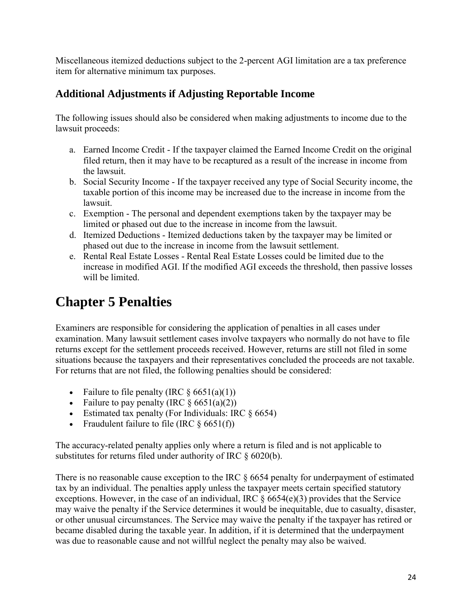Miscellaneous itemized deductions subject to the 2-percent AGI limitation are a tax preference item for alternative minimum tax purposes.

## <span id="page-24-0"></span>**Additional Adjustments if Adjusting Reportable Income**

The following issues should also be considered when making adjustments to income due to the lawsuit proceeds:

- a. Earned Income Credit If the taxpayer claimed the Earned Income Credit on the original filed return, then it may have to be recaptured as a result of the increase in income from the lawsuit.
- b. Social Security Income If the taxpayer received any type of Social Security income, the taxable portion of this income may be increased due to the increase in income from the lawsuit.
- c. Exemption The personal and dependent exemptions taken by the taxpayer may be limited or phased out due to the increase in income from the lawsuit.
- d. Itemized Deductions Itemized deductions taken by the taxpayer may be limited or phased out due to the increase in income from the lawsuit settlement.
- e. Rental Real Estate Losses Rental Real Estate Losses could be limited due to the increase in modified AGI. If the modified AGI exceeds the threshold, then passive losses will be limited.

## <span id="page-24-1"></span>**Chapter 5 Penalties**

Examiners are responsible for considering the application of penalties in all cases under examination. Many lawsuit settlement cases involve taxpayers who normally do not have to file returns except for the settlement proceeds received. However, returns are still not filed in some situations because the taxpayers and their representatives concluded the proceeds are not taxable. For returns that are not filed, the following penalties should be considered:

- Failure to file penalty (IRC  $\S 6651(a)(1)$ )
- Failure to pay penalty (IRC  $\S 6651(a)(2)$ )
- Estimated tax penalty (For Individuals: IRC  $\S$  6654)
- Fraudulent failure to file (IRC  $\S$  6651(f))

The accuracy-related penalty applies only where a return is filed and is not applicable to substitutes for returns filed under authority of IRC § 6020(b).

There is no reasonable cause exception to the IRC  $\S$  6654 penalty for underpayment of estimated tax by an individual. The penalties apply unless the taxpayer meets certain specified statutory exceptions. However, in the case of an individual, IRC  $\S$  6654(e)(3) provides that the Service may waive the penalty if the Service determines it would be inequitable, due to casualty, disaster, or other unusual circumstances. The Service may waive the penalty if the taxpayer has retired or became disabled during the taxable year. In addition, if it is determined that the underpayment was due to reasonable cause and not willful neglect the penalty may also be waived.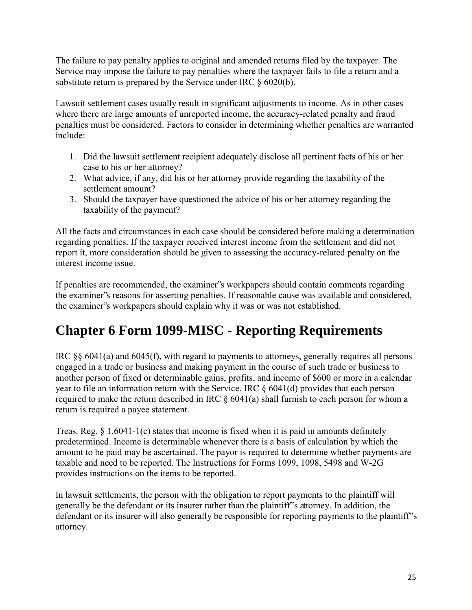The failure to pay penalty applies to original and amended returns filed by the taxpayer. The Service may impose the failure to pay penalties where the taxpayer fails to file a return and a substitute return is prepared by the Service under IRC § 6020(b).

Lawsuit settlement cases usually result in significant adjustments to income. As in other cases where there are large amounts of unreported income, the accuracy-related penalty and fraud penalties must be considered. Factors to consider in determining whether penalties are warranted include:

- 1. Did the lawsuit settlement recipient adequately disclose all pertinent facts of his or her case to his or her attorney?
- 2. What advice, if any, did his or her attorney provide regarding the taxability of the settlement amount?
- 3. Should the taxpayer have questioned the advice of his or her attorney regarding the taxability of the payment?

All the facts and circumstances in each case should be considered before making a determination regarding penalties. If the taxpayer received interest income from the settlement and did not report it, more consideration should be given to assessing the accuracy-related penalty on the interest income issue.

If penalties are recommended, the examiner"s workpapers should contain comments regarding the examiner"s reasons for asserting penalties. If reasonable cause was available and considered, the examiner"s workpapers should explain why it was or was not established.

## <span id="page-25-0"></span>**Chapter 6 Form 1099-MISC - Reporting Requirements**

IRC §§ 6041(a) and 6045(f), with regard to payments to attorneys, generally requires all persons engaged in a trade or business and making payment in the course of such trade or business to another person of fixed or determinable gains, profits, and income of \$600 or more in a calendar year to file an information return with the Service. IRC § 6041(d) provides that each person required to make the return described in IRC  $\S$  6041(a) shall furnish to each person for whom a return is required a payee statement.

Treas. Reg.  $\S$  1.6041-1(c) states that income is fixed when it is paid in amounts definitely predetermined. Income is determinable whenever there is a basis of calculation by which the amount to be paid may be ascertained. The payor is required to determine whether payments are taxable and need to be reported. The Instructions for Forms 1099, 1098, 5498 and W-2G provides instructions on the items to be reported.

In lawsuit settlements, the person with the obligation to report payments to the plaintiff will generally be the defendant or its insurer rather than the plaintiff"s attorney. In addition, the defendant or its insurer will also generally be responsible for reporting payments to the plaintiff's attorney.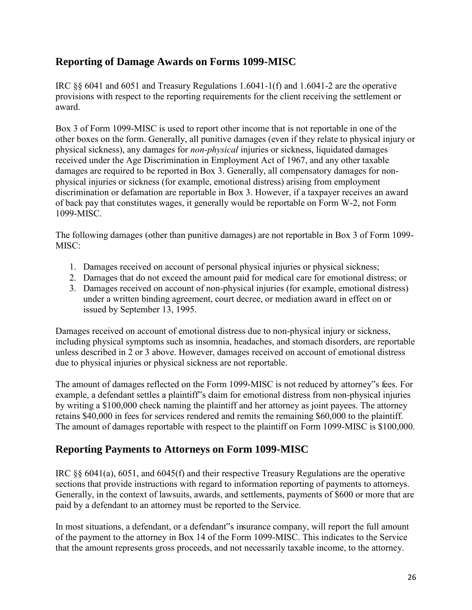## <span id="page-26-0"></span>**Reporting of Damage Awards on Forms 1099-MISC**

IRC §§ 6041 and 6051 and Treasury Regulations 1.6041-1(f) and 1.6041-2 are the operative provisions with respect to the reporting requirements for the client receiving the settlement or award.

Box 3 of Form 1099-MISC is used to report other income that is not reportable in one of the other boxes on the form. Generally, all punitive damages (even if they relate to physical injury or physical sickness), any damages for *non-physical* injuries or sickness, liquidated damages received under the Age Discrimination in Employment Act of 1967, and any other taxable damages are required to be reported in Box 3. Generally, all compensatory damages for nonphysical injuries or sickness (for example, emotional distress) arising from employment discrimination or defamation are reportable in Box 3. However, if a taxpayer receives an award of back pay that constitutes wages, it generally would be reportable on Form W-2, not Form 1099-MISC.

The following damages (other than punitive damages) are not reportable in Box 3 of Form 1099- MISC:

- 1. Damages received on account of personal physical injuries or physical sickness;
- 2. Damages that do not exceed the amount paid for medical care for emotional distress; or
- 3. Damages received on account of non-physical injuries (for example, emotional distress) under a written binding agreement, court decree, or mediation award in effect on or issued by September 13, 1995.

Damages received on account of emotional distress due to non-physical injury or sickness, including physical symptoms such as insomnia, headaches, and stomach disorders, are reportable unless described in 2 or 3 above. However, damages received on account of emotional distress due to physical injuries or physical sickness are not reportable.

The amount of damages reflected on the Form 1099-MISC is not reduced by attorney"s fees. For example, a defendant settles a plaintiff"s claim for emotional distress from non-physical injuries by writing a \$100,000 check naming the plaintiff and her attorney as joint payees. The attorney retains \$40,000 in fees for services rendered and remits the remaining \$60,000 to the plaintiff. The amount of damages reportable with respect to the plaintiff on Form 1099-MISC is \$100,000.

## <span id="page-26-1"></span>**Reporting Payments to Attorneys on Form 1099-MISC**

IRC §§ 6041(a), 6051, and 6045(f) and their respective Treasury Regulations are the operative sections that provide instructions with regard to information reporting of payments to attorneys. Generally, in the context of lawsuits, awards, and settlements, payments of \$600 or more that are paid by a defendant to an attorney must be reported to the Service.

In most situations, a defendant, or a defendant"s insurance company, will report the full amount of the payment to the attorney in Box 14 of the Form 1099-MISC. This indicates to the Service that the amount represents gross proceeds, and not necessarily taxable income, to the attorney.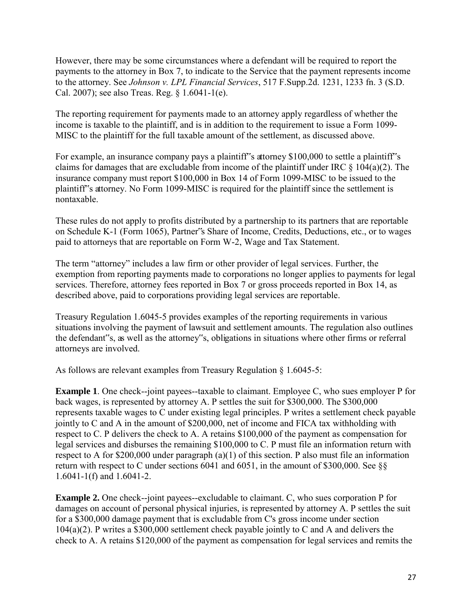However, there may be some circumstances where a defendant will be required to report the payments to the attorney in Box 7, to indicate to the Service that the payment represents income to the attorney. See *Johnson v. LPL Financial Services*, 517 F.Supp.2d. 1231, 1233 fn. 3 (S.D. Cal. 2007); see also Treas. Reg. § 1.6041-1(e).

The reporting requirement for payments made to an attorney apply regardless of whether the income is taxable to the plaintiff, and is in addition to the requirement to issue a Form 1099- MISC to the plaintiff for the full taxable amount of the settlement, as discussed above.

For example, an insurance company pays a plaintiff<sup>\*</sup>s attorney \$100,000 to settle a plaintiff<sup>\*</sup>s claims for damages that are excludable from income of the plaintiff under IRC  $\S$  104(a)(2). The insurance company must report \$100,000 in Box 14 of Form 1099-MISC to be issued to the plaintiff"s attorney. No Form 1099-MISC is required for the plaintiff since the settlement is nontaxable.

These rules do not apply to profits distributed by a partnership to its partners that are reportable on Schedule K-1 (Form 1065), Partner"s Share of Income, Credits, Deductions, etc., or to wages paid to attorneys that are reportable on Form W-2, Wage and Tax Statement.

The term "attorney" includes a law firm or other provider of legal services. Further, the exemption from reporting payments made to corporations no longer applies to payments for legal services. Therefore, attorney fees reported in Box 7 or gross proceeds reported in Box 14, as described above, paid to corporations providing legal services are reportable.

Treasury Regulation 1.6045-5 provides examples of the reporting requirements in various situations involving the payment of lawsuit and settlement amounts. The regulation also outlines the defendant"s, as well as the attorney"s, obligations in situations where other firms or referral attorneys are involved.

As follows are relevant examples from Treasury Regulation § 1.6045-5:

**Example 1**. One check--joint payees--taxable to claimant. Employee C, who sues employer P for back wages, is represented by attorney A. P settles the suit for \$300,000. The \$300,000 represents taxable wages to C under existing legal principles. P writes a settlement check payable jointly to C and A in the amount of \$200,000, net of income and FICA tax withholding with respect to C. P delivers the check to A. A retains \$100,000 of the payment as compensation for legal services and disburses the remaining \$100,000 to C. P must file an information return with respect to A for \$200,000 under paragraph (a)(1) of this section. P also must file an information return with respect to C under sections 6041 and 6051, in the amount of \$300,000. See §§ 1.6041-1(f) and 1.6041-2.

**Example 2.** One check--joint payees--excludable to claimant. C, who sues corporation P for damages on account of personal physical injuries, is represented by attorney A. P settles the suit for a \$300,000 damage payment that is excludable from C's gross income under section 104(a)(2). P writes a \$300,000 settlement check payable jointly to C and A and delivers the check to A. A retains \$120,000 of the payment as compensation for legal services and remits the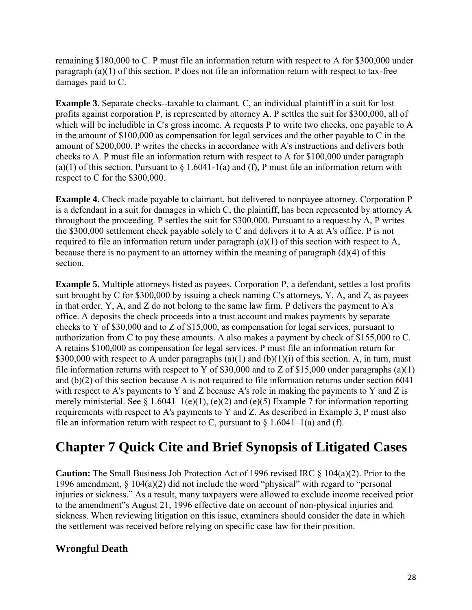remaining \$180,000 to C. P must file an information return with respect to A for \$300,000 under paragraph (a)(1) of this section. P does not file an information return with respect to tax-free damages paid to C.

**Example 3**. Separate checks--taxable to claimant. C, an individual plaintiff in a suit for lost profits against corporation P, is represented by attorney A. P settles the suit for \$300,000, all of which will be includible in C's gross income. A requests P to write two checks, one payable to A in the amount of \$100,000 as compensation for legal services and the other payable to C in the amount of \$200,000. P writes the checks in accordance with A's instructions and delivers both checks to A. P must file an information return with respect to A for \$100,000 under paragraph (a)(1) of this section. Pursuant to  $\S 1.6041-1(a)$  and (f), P must file an information return with respect to C for the \$300,000.

**Example 4.** Check made payable to claimant, but delivered to nonpayee attorney. Corporation P is a defendant in a suit for damages in which C, the plaintiff, has been represented by attorney A throughout the proceeding. P settles the suit for \$300,000. Pursuant to a request by A, P writes the \$300,000 settlement check payable solely to C and delivers it to A at A's office. P is not required to file an information return under paragraph (a)(1) of this section with respect to A, because there is no payment to an attorney within the meaning of paragraph  $(d)(4)$  of this section.

**Example 5.** Multiple attorneys listed as payees. Corporation P, a defendant, settles a lost profits suit brought by C for \$300,000 by issuing a check naming C's attorneys, Y, A, and Z, as payees in that order. Y, A, and Z do not belong to the same law firm. P delivers the payment to A's office. A deposits the check proceeds into a trust account and makes payments by separate checks to Y of \$30,000 and to Z of \$15,000, as compensation for legal services, pursuant to authorization from C to pay these amounts. A also makes a payment by check of \$155,000 to C. A retains \$100,000 as compensation for legal services. P must file an information return for \$300,000 with respect to A under paragraphs (a)(1) and (b)(1)(i) of this section. A, in turn, must file information returns with respect to Y of \$30,000 and to Z of \$15,000 under paragraphs (a)(1) and (b)(2) of this section because A is not required to file information returns under section 6041 with respect to A's payments to Y and Z because A's role in making the payments to Y and Z is merely ministerial. See  $\S$  1.6041–1(e)(1), (e)(2) and (e)(5) Example 7 for information reporting requirements with respect to A's payments to Y and Z. As described in Example 3, P must also file an information return with respect to C, pursuant to  $\S$  1.6041–1(a) and (f).

## <span id="page-28-0"></span>**Chapter 7 Quick Cite and Brief Synopsis of Litigated Cases**

**Caution:** The Small Business Job Protection Act of 1996 revised IRC § 104(a)(2). Prior to the 1996 amendment, § 104(a)(2) did not include the word "physical" with regard to "personal injuries or sickness." As a result, many taxpayers were allowed to exclude income received prior to the amendment"s August 21, 1996 effective date on account of non-physical injuries and sickness. When reviewing litigation on this issue, examiners should consider the date in which the settlement was received before relying on specific case law for their position.

## **Wrongful Death**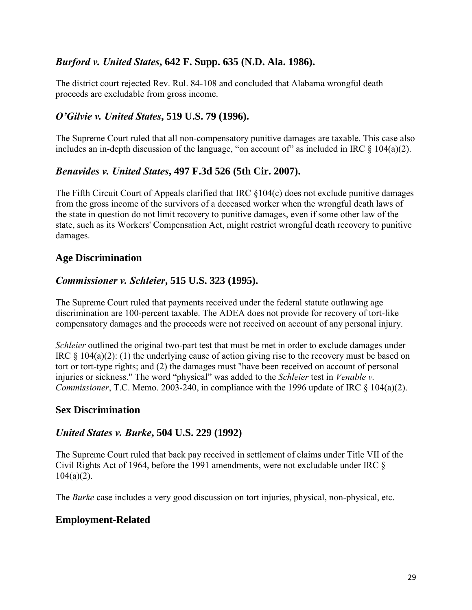## *Burford v. United States***, 642 F. Supp. 635 (N.D. Ala. 1986).**

The district court rejected Rev. Rul. 84-108 and concluded that Alabama wrongful death proceeds are excludable from gross income.

#### *O'Gilvie v. United States***, 519 U.S. 79 (1996).**

The Supreme Court ruled that all non-compensatory punitive damages are taxable. This case also includes an in-depth discussion of the language, "on account of" as included in IRC  $\S$  104(a)(2).

#### *Benavides v. United States***, 497 F.3d 526 (5th Cir. 2007).**

The Fifth Circuit Court of Appeals clarified that IRC §104(c) does not exclude punitive damages from the gross income of the survivors of a deceased worker when the wrongful death laws of the state in question do not limit recovery to punitive damages, even if some other law of the state, such as its Workers' Compensation Act, might restrict wrongful death recovery to punitive damages.

### **Age Discrimination**

#### *Commissioner v. Schleier***, 515 U.S. 323 (1995).**

The Supreme Court ruled that payments received under the federal statute outlawing age discrimination are 100-percent taxable. The ADEA does not provide for recovery of tort-like compensatory damages and the proceeds were not received on account of any personal injury.

*Schleier* outlined the original two-part test that must be met in order to exclude damages under IRC § 104(a)(2): (1) the underlying cause of action giving rise to the recovery must be based on tort or tort-type rights; and (2) the damages must "have been received on account of personal injuries or sickness." The word "physical" was added to the *Schleier* test in *Venable v. Commissioner*, T.C. Memo. 2003-240, in compliance with the 1996 update of IRC § 104(a)(2).

#### **Sex Discrimination**

#### *United States v. Burke***, 504 U.S. 229 (1992)**

The Supreme Court ruled that back pay received in settlement of claims under Title VII of the Civil Rights Act of 1964, before the 1991 amendments, were not excludable under IRC §  $104(a)(2)$ .

The *Burke* case includes a very good discussion on tort injuries, physical, non-physical, etc.

#### **Employment-Related**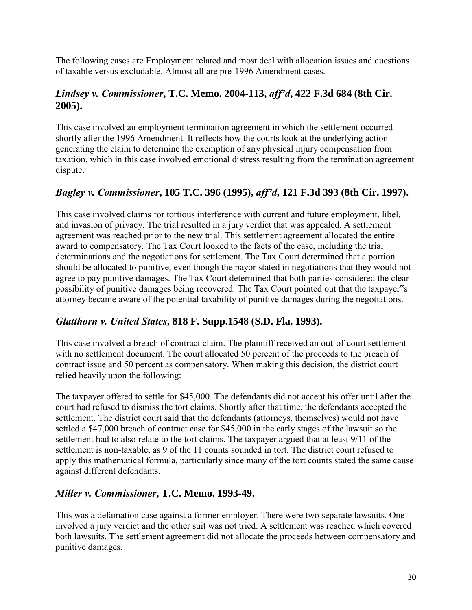The following cases are Employment related and most deal with allocation issues and questions of taxable versus excludable. Almost all are pre-1996 Amendment cases.

## *Lindsey v. Commissioner***, T.C. Memo. 2004-113,** *aff'd***, 422 F.3d 684 (8th Cir. 2005).**

This case involved an employment termination agreement in which the settlement occurred shortly after the 1996 Amendment. It reflects how the courts look at the underlying action generating the claim to determine the exemption of any physical injury compensation from taxation, which in this case involved emotional distress resulting from the termination agreement dispute.

## *Bagley v. Commissioner***, 105 T.C. 396 (1995),** *aff'd***, 121 F.3d 393 (8th Cir. 1997).**

This case involved claims for tortious interference with current and future employment, libel, and invasion of privacy. The trial resulted in a jury verdict that was appealed. A settlement agreement was reached prior to the new trial. This settlement agreement allocated the entire award to compensatory. The Tax Court looked to the facts of the case, including the trial determinations and the negotiations for settlement. The Tax Court determined that a portion should be allocated to punitive, even though the payor stated in negotiations that they would not agree to pay punitive damages. The Tax Court determined that both parties considered the clear possibility of punitive damages being recovered. The Tax Court pointed out that the taxpayer"s attorney became aware of the potential taxability of punitive damages during the negotiations.

## *Glatthorn v. United States***, 818 F. Supp.1548 (S.D. Fla. 1993).**

This case involved a breach of contract claim. The plaintiff received an out-of-court settlement with no settlement document. The court allocated 50 percent of the proceeds to the breach of contract issue and 50 percent as compensatory. When making this decision, the district court relied heavily upon the following:

The taxpayer offered to settle for \$45,000. The defendants did not accept his offer until after the court had refused to dismiss the tort claims. Shortly after that time, the defendants accepted the settlement. The district court said that the defendants (attorneys, themselves) would not have settled a \$47,000 breach of contract case for \$45,000 in the early stages of the lawsuit so the settlement had to also relate to the tort claims. The taxpayer argued that at least 9/11 of the settlement is non-taxable, as 9 of the 11 counts sounded in tort. The district court refused to apply this mathematical formula, particularly since many of the tort counts stated the same cause against different defendants.

## *Miller v. Commissioner***, T.C. Memo. 1993-49.**

This was a defamation case against a former employer. There were two separate lawsuits. One involved a jury verdict and the other suit was not tried. A settlement was reached which covered both lawsuits. The settlement agreement did not allocate the proceeds between compensatory and punitive damages.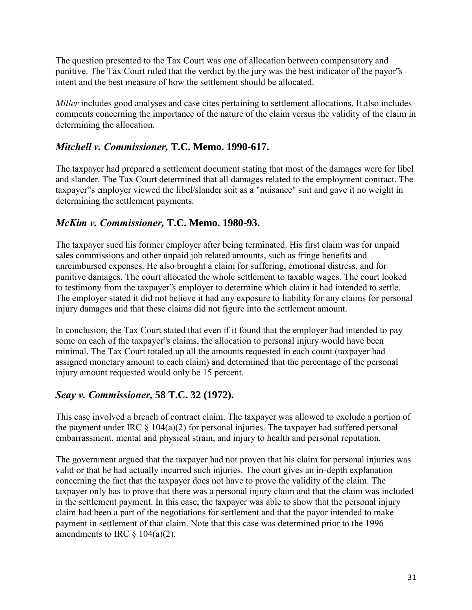The question presented to the Tax Court was one of allocation between compensatory and punitive. The Tax Court ruled that the verdict by the jury was the best indicator of the payor"s intent and the best measure of how the settlement should be allocated.

*Miller* includes good analyses and case cites pertaining to settlement allocations. It also includes comments concerning the importance of the nature of the claim versus the validity of the claim in determining the allocation.

## *Mitchell v. Commissioner,* **T.C. Memo. 1990-617.**

The taxpayer had prepared a settlement document stating that most of the damages were for libel and slander. The Tax Court determined that all damages related to the employment contract. The taxpayer"s employer viewed the libel/slander suit as a "nuisance" suit and gave it no weight in determining the settlement payments.

## *McKim v. Commissioner,* **T.C. Memo. 1980-93.**

The taxpayer sued his former employer after being terminated. His first claim was for unpaid sales commissions and other unpaid job related amounts, such as fringe benefits and unreimbursed expenses. He also brought a claim for suffering, emotional distress, and for punitive damages. The court allocated the whole settlement to taxable wages. The court looked to testimony from the taxpayer"s employer to determine which claim it had intended to settle. The employer stated it did not believe it had any exposure to liability for any claims for personal injury damages and that these claims did not figure into the settlement amount.

In conclusion, the Tax Court stated that even if it found that the employer had intended to pay some on each of the taxpayer"s claims, the allocation to personal injury would have been minimal. The Tax Court totaled up all the amounts requested in each count (taxpayer had assigned monetary amount to each claim) and determined that the percentage of the personal injury amount requested would only be 15 percent.

## *Seay v. Commissioner,* **58 T.C. 32 (1972).**

This case involved a breach of contract claim. The taxpayer was allowed to exclude a portion of the payment under IRC  $\S$  104(a)(2) for personal injuries. The taxpayer had suffered personal embarrassment, mental and physical strain, and injury to health and personal reputation.

The government argued that the taxpayer had not proven that his claim for personal injuries was valid or that he had actually incurred such injuries. The court gives an in-depth explanation concerning the fact that the taxpayer does not have to prove the validity of the claim. The taxpayer only has to prove that there was a personal injury claim and that the claim was included in the settlement payment. In this case, the taxpayer was able to show that the personal injury claim had been a part of the negotiations for settlement and that the payor intended to make payment in settlement of that claim. Note that this case was determined prior to the 1996 amendments to IRC  $\S$  104(a)(2).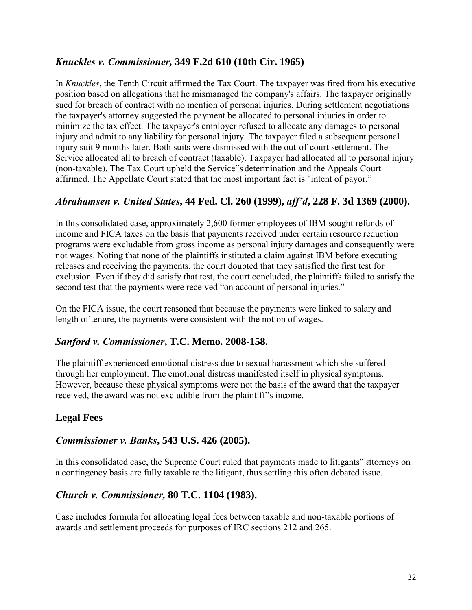## *Knuckles v. Commissioner,* **349 F.2d 610 (10th Cir. 1965)**

In *Knuckles*, the Tenth Circuit affirmed the Tax Court. The taxpayer was fired from his executive position based on allegations that he mismanaged the company's affairs. The taxpayer originally sued for breach of contract with no mention of personal injuries. During settlement negotiations the taxpayer's attorney suggested the payment be allocated to personal injuries in order to minimize the tax effect. The taxpayer's employer refused to allocate any damages to personal injury and admit to any liability for personal injury. The taxpayer filed a subsequent personal injury suit 9 months later. Both suits were dismissed with the out-of-court settlement. The Service allocated all to breach of contract (taxable). Taxpayer had allocated all to personal injury (non-taxable). The Tax Court upheld the Service"s determination and the Appeals Court affirmed. The Appellate Court stated that the most important fact is "intent of payor."

## *Abrahamsen v. United States***, 44 Fed. Cl. 260 (1999),** *aff'd***, 228 F. 3d 1369 (2000).**

In this consolidated case, approximately 2,600 former employees of IBM sought refunds of income and FICA taxes on the basis that payments received under certain resource reduction programs were excludable from gross income as personal injury damages and consequently were not wages. Noting that none of the plaintiffs instituted a claim against IBM before executing releases and receiving the payments, the court doubted that they satisfied the first test for exclusion. Even if they did satisfy that test, the court concluded, the plaintiffs failed to satisfy the second test that the payments were received "on account of personal injuries."

On the FICA issue, the court reasoned that because the payments were linked to salary and length of tenure, the payments were consistent with the notion of wages.

## *Sanford v. Commissioner***, T.C. Memo. 2008-158.**

The plaintiff experienced emotional distress due to sexual harassment which she suffered through her employment. The emotional distress manifested itself in physical symptoms. However, because these physical symptoms were not the basis of the award that the taxpayer received, the award was not excludible from the plaintiff's income.

## **Legal Fees**

### *Commissioner v. Banks***, 543 U.S. 426 (2005).**

In this consolidated case, the Supreme Court ruled that payments made to litigants" attorneys on a contingency basis are fully taxable to the litigant, thus settling this often debated issue.

## *Church v. Commissioner,* **80 T.C. 1104 (1983).**

Case includes formula for allocating legal fees between taxable and non-taxable portions of awards and settlement proceeds for purposes of IRC sections 212 and 265.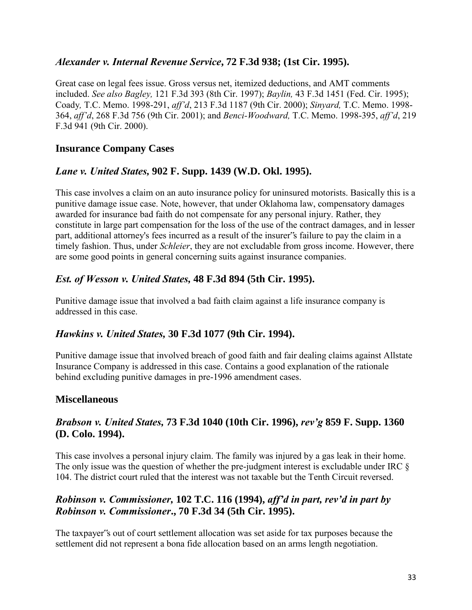### *Alexander v. Internal Revenue Service***, 72 F.3d 938; (1st Cir. 1995).**

Great case on legal fees issue. Gross versus net, itemized deductions, and AMT comments included. *See also Bagley,* 121 F.3d 393 (8th Cir. 1997); *Baylin,* 43 F.3d 1451 (Fed. Cir. 1995); Coady*,* T.C. Memo. 1998-291, *aff'd*, 213 F.3d 1187 (9th Cir. 2000); *Sinyard,* T.C. Memo. 1998- 364, *aff'd*, 268 F.3d 756 (9th Cir. 2001); and *Benci-Woodward,* T.C. Memo. 1998-395, *aff'd*, 219 F.3d 941 (9th Cir. 2000).

## **Insurance Company Cases**

### *Lane v. United States,* **902 F. Supp. 1439 (W.D. Okl. 1995).**

This case involves a claim on an auto insurance policy for uninsured motorists. Basically this is a punitive damage issue case. Note, however, that under Oklahoma law, compensatory damages awarded for insurance bad faith do not compensate for any personal injury. Rather, they constitute in large part compensation for the loss of the use of the contract damages, and in lesser part, additional attorney's fees incurred as a result of the insurer"s failure to pay the claim in a timely fashion. Thus, under *Schleier*, they are not excludable from gross income. However, there are some good points in general concerning suits against insurance companies.

## *Est. of Wesson v. United States,* **48 F.3d 894 (5th Cir. 1995).**

Punitive damage issue that involved a bad faith claim against a life insurance company is addressed in this case.

### *Hawkins v. United States,* **30 F.3d 1077 (9th Cir. 1994).**

Punitive damage issue that involved breach of good faith and fair dealing claims against Allstate Insurance Company is addressed in this case. Contains a good explanation of the rationale behind excluding punitive damages in pre-1996 amendment cases.

### **Miscellaneous**

## *Brabson v. United States,* **73 F.3d 1040 (10th Cir. 1996),** *rev'g* **859 F. Supp. 1360 (D. Colo. 1994).**

This case involves a personal injury claim. The family was injured by a gas leak in their home. The only issue was the question of whether the pre-judgment interest is excludable under IRC  $\S$ 104. The district court ruled that the interest was not taxable but the Tenth Circuit reversed.

## *Robinson v. Commissioner,* **102 T.C. 116 (1994),** *aff'd in part, rev'd in part by Robinson v. Commissioner***., 70 F.3d 34 (5th Cir. 1995).**

The taxpayer"s out of court settlement allocation was set aside for tax purposes because the settlement did not represent a bona fide allocation based on an arms length negotiation.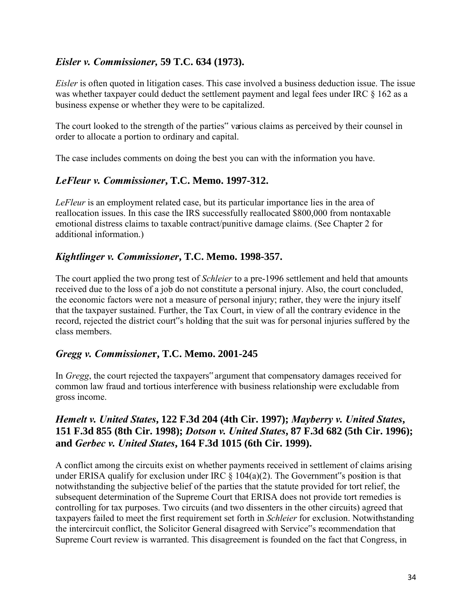## *Eisler v. Commissioner,* **59 T.C. 634 (1973).**

*Eisler* is often quoted in litigation cases. This case involved a business deduction issue. The issue was whether taxpayer could deduct the settlement payment and legal fees under IRC § 162 as a business expense or whether they were to be capitalized.

The court looked to the strength of the parties" various claims as perceived by their counsel in order to allocate a portion to ordinary and capital.

The case includes comments on doing the best you can with the information you have.

### *LeFleur v. Commissioner***, T.C. Memo. 1997-312.**

*LeFleur* is an employment related case, but its particular importance lies in the area of reallocation issues. In this case the IRS successfully reallocated \$800,000 from nontaxable emotional distress claims to taxable contract/punitive damage claims. (See Chapter 2 for additional information.)

## *Kightlinger v. Commissioner***, T.C. Memo. 1998-357.**

The court applied the two prong test of *Schleier* to a pre-1996 settlement and held that amounts received due to the loss of a job do not constitute a personal injury. Also, the court concluded, the economic factors were not a measure of personal injury; rather, they were the injury itself that the taxpayer sustained. Further, the Tax Court, in view of all the contrary evidence in the record, rejected the district court"s holding that the suit was for personal injuries suffered by the class members.

### *Gregg v. Commissione***r, T.C. Memo. 2001-245**

In *Gregg*, the court rejected the taxpayers" argument that compensatory damages received for common law fraud and tortious interference with business relationship were excludable from gross income.

## *Hemelt v. United States***, 122 F.3d 204 (4th Cir. 1997);** *Mayberry v. United States***, 151 F.3d 855 (8th Cir. 1998);** *Dotson v. United States***, 87 F.3d 682 (5th Cir. 1996); and** *Gerbec v. United States***, 164 F.3d 1015 (6th Cir. 1999).**

A conflict among the circuits exist on whether payments received in settlement of claims arising under ERISA qualify for exclusion under IRC  $\S$  104(a)(2). The Government"s position is that notwithstanding the subjective belief of the parties that the statute provided for tort relief, the subsequent determination of the Supreme Court that ERISA does not provide tort remedies is controlling for tax purposes. Two circuits (and two dissenters in the other circuits) agreed that taxpayers failed to meet the first requirement set forth in *Schleier* for exclusion. Notwithstanding the intercircuit conflict, the Solicitor General disagreed with Service"s recommendation that Supreme Court review is warranted. This disagreement is founded on the fact that Congress, in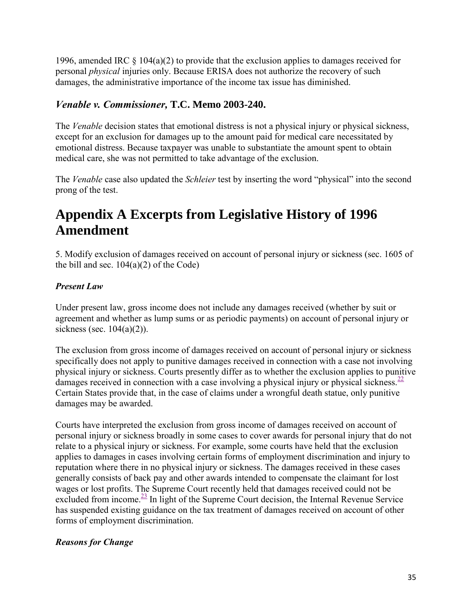1996, amended IRC  $\S$  104(a)(2) to provide that the exclusion applies to damages received for personal *physical* injuries only. Because ERISA does not authorize the recovery of such damages, the administrative importance of the income tax issue has diminished.

## *Venable v. Commissioner,* **T.C. Memo 2003-240.**

The *Venable* decision states that emotional distress is not a physical injury or physical sickness, except for an exclusion for damages up to the amount paid for medical care necessitated by emotional distress. Because taxpayer was unable to substantiate the amount spent to obtain medical care, she was not permitted to take advantage of the exclusion.

The *Venable* case also updated the *Schleier* test by inserting the word "physical" into the second prong of the test.

## **Appendix A Excerpts from Legislative History of 1996 Amendment**

5. Modify exclusion of damages received on account of personal injury or sickness (sec. 1605 of the bill and sec.  $104(a)(2)$  of the Code)

## *Present Law*

Under present law, gross income does not include any damages received (whether by suit or agreement and whether as lump sums or as periodic payments) on account of personal injury or sickness (sec.  $104(a)(2)$ ).

<span id="page-35-0"></span>The exclusion from gross income of damages received on account of personal injury or sickness specifically does not apply to punitive damages received in connection with a case not involving physical injury or sickness. Courts presently differ as to whether the exclusion applies to punitive damages received in connection with a case involving a physical injury or physical sickness.<sup>[22](#page-36-0)</sup> Certain States provide that, in the case of claims under a wrongful death statue, only punitive damages may be awarded.

Courts have interpreted the exclusion from gross income of damages received on account of personal injury or sickness broadly in some cases to cover awards for personal injury that do not relate to a physical injury or sickness. For example, some courts have held that the exclusion applies to damages in cases involving certain forms of employment discrimination and injury to reputation where there in no physical injury or sickness. The damages received in these cases generally consists of back pay and other awards intended to compensate the claimant for lost wages or lost profits. The Supreme Court recently held that damages received could not be excluded from income. $\frac{23}{2}$  $\frac{23}{2}$  $\frac{23}{2}$  In light of the Supreme Court decision, the Internal Revenue Service has suspended existing guidance on the tax treatment of damages received on account of other forms of employment discrimination.

### <span id="page-35-1"></span>*Reasons for Change*